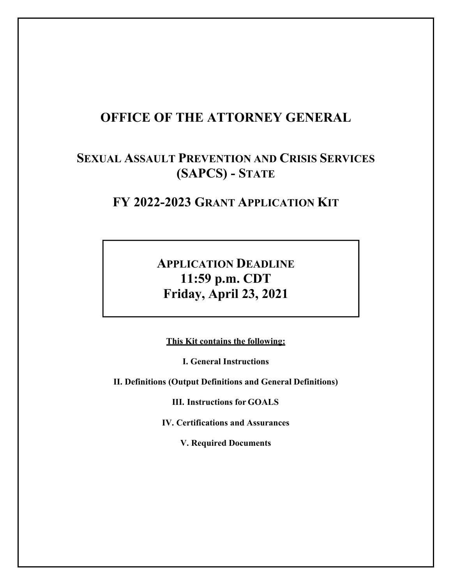# **OFFICE OF THE ATTORNEY GENERAL**

# **SEXUAL ASSAULT PREVENTION AND CRISIS SERVICES (SAPCS) - STATE**

# **FY 2022-2023 GRANT APPLICATION KIT**

# **APPLICATION DEADLINE 11:59 p.m. CDT Friday, April 23, 2021**

**This Kit contains the following:**

**I. General Instructions**

<span id="page-0-0"></span>**II. Definitions (Output Definitions and General Definitions)**

**III. Instructions for GOALS**

**IV. Certifications and Assurances**

**V. Required Documents**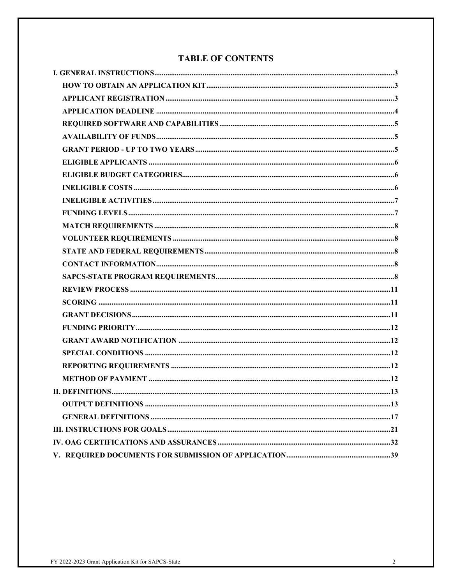## **TABLE OF CONTENTS**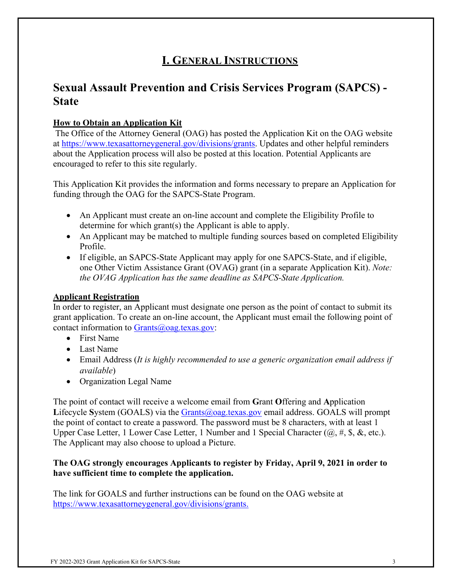# **I. GENERAL INSTRUCTIONS**

# **Sexual Assault Prevention and Crisis Services Program (SAPCS) - State**

## <span id="page-2-0"></span>**How to Obtain an Application Kit**

The Office of the Attorney General (OAG) has posted the Application Kit on the OAG website at [https://www.texasattorneygeneral.gov/divisions/grants.](http://www.texasattorneygeneral.gov/divisions/grants) Updates and other helpful reminders about the Application process will also be posted at this location. Potential Applicants are encouraged to refer to this site regularly.

This Application Kit provides the information and forms necessary to prepare an Application for funding through the OAG for the SAPCS-State Program.

- An Applicant must create an on-line account and complete the Eligibility Profile to determine for which grant(s) the Applicant is able to apply.
- An Applicant may be matched to multiple funding sources based on completed Eligibility Profile.
- If eligible, an SAPCS-State Applicant may apply for one SAPCS-State, and if eligible, one Other Victim Assistance Grant (OVAG) grant (in a separate Application Kit). *Note: the OVAG Application has the same deadline as SAPCS-State Application.*

### <span id="page-2-1"></span>**Applicant Registration**

In order to register, an Applicant must designate one person as the point of contact to submit its grant application. To create an on-line account, the Applicant must email the following point of contact information to  $Grants@oaq.textexas.gov$ :

- First Name
- Last Name
- Email Address (*It is highly recommended to use a generic organization email address if available*)
- Organization Legal Name

The point of contact will receive a welcome email from **G**rant **O**ffering and **A**pplication Lifecycle System (GOALS) via the [Grants@oag.texas.gov](mailto:Grants@oag.texas.gov) email address. GOALS will prompt the point of contact to create a password. The password must be 8 characters, with at least 1 Upper Case Letter, 1 Lower Case Letter, 1 Number and 1 Special Character  $(\omega, \#, \S, \&, \text{etc.}).$ The Applicant may also choose to upload a Picture.

#### **The OAG strongly encourages Applicants to register by Friday, April 9, 2021 in order to have sufficient time to complete the application.**

The link for GOALS and further instructions can be found on the OAG website at [https://www.texasattorneygeneral.gov/divisions/grants.](http://www.texasattorneygeneral.gov/divisions/grants)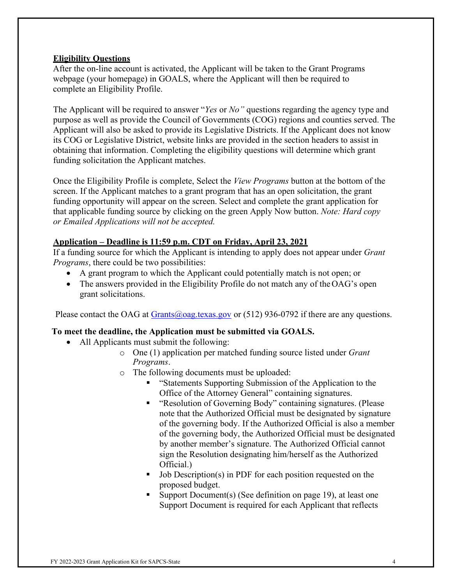#### **Eligibility Questions**

After the on-line account is activated, the Applicant will be taken to the Grant Programs webpage (your homepage) in GOALS, where the Applicant will then be required to complete an Eligibility Profile.

The Applicant will be required to answer "*Yes* or *No"* questions regarding the agency type and purpose as well as provide the Council of Governments (COG) regions and counties served. The Applicant will also be asked to provide its Legislative Districts. If the Applicant does not know its COG or Legislative District, website links are provided in the section headers to assist in obtaining that information. Completing the eligibility questions will determine which grant funding solicitation the Applicant matches.

Once the Eligibility Profile is complete, Select the *View Programs* button at the bottom of the screen. If the Applicant matches to a grant program that has an open solicitation, the grant funding opportunity will appear on the screen. Select and complete the grant application for that applicable funding source by clicking on the green Apply Now button. *Note: Hard copy or Emailed Applications will not be accepted.*

#### **Application – Deadline is 11:59 p.m. CDT on Friday, April 23, 2021**

If a funding source for which the Applicant is intending to apply does not appear under *Grant Programs*, there could be two possibilities:

- A grant program to which the Applicant could potentially match is not open; or
- The answers provided in the Eligibility Profile do not match any of the OAG's open grant solicitations.

Please contact the OAG at  $Grants(\omega)$  oag.texas.gov or (512) 936-0792 if there are any questions.

#### **To meet the deadline, the Application must be submitted via GOALS.**

- All Applicants must submit the following:
	- o One (1) application per matched funding source listed under *Grant Programs*.
	- o The following documents must be uploaded:
		- "Statements Supporting Submission of the Application to the Office of the Attorney General" containing signatures.
		- "Resolution of Governing Body" containing signatures. (Please note that the Authorized Official must be designated by signature of the governing body. If the Authorized Official is also a member of the governing body, the Authorized Official must be designated by another member's signature. The Authorized Official cannot sign the Resolution designating him/herself as the Authorized Official.)
		- Job Description(s) in PDF for each position requested on the proposed budget.
		- Support Document(s) (See definition on page 19), at least one Support Document is required for each Applicant that reflects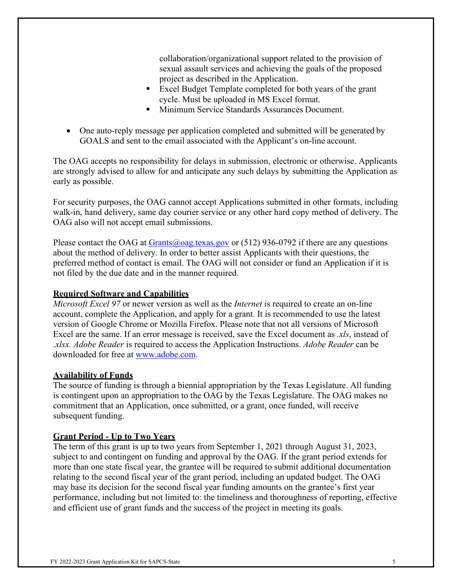collaboration/organizational support related to the provision of sexual assault services and achieving the goals of the proposed project as described in the Application.

- Excel Budget Template completed for both years of the grant cycle. Must be uploaded in MS Excel format.
- Minimum Service Standards Assurances Document.
- One auto-reply message per application completed and submitted will be generated by GOALS and sent to the email associated with the Applicant's on-line account.

The OAG accepts no responsibility for delays in submission, electronic or otherwise. Applicants are strongly advised to allow for and anticipate any such delays by submitting the Application as early as possible.

For security purposes, the OAG cannot accept Applications submitted in other formats, including walk-in, hand delivery, same day courier service or any other hard copy method of delivery. The OAG also will not accept email submissions.

Please contact the OAG at [Grants@oag.texas.gov](mailto:Grants@oag.texas.gov) or (512) 936-0792 if there are any questions about the method of delivery. In order to better assist Applicants with their questions, the preferred method of contact is email. The OAG will not consider or fund an Application if it is not filed by the due date and in the manner required.

#### <span id="page-4-0"></span>**Required Software and Capabilities**

*Microsoft Excel 97* or newer version as well as the *Internet* is required to create an on-line account, complete the Application, and apply for a grant. It is recommended to use the latest version of Google Chrome or Mozilla Firefox. Please note that not all versions of Microsoft Excel are the same. If an error message is received, save the Excel document as *.xls*, instead of .*xlsx. Adobe Reader* is required to access the Application Instructions. *Adobe Reader* can be downloaded for free at [www.adobe.com.](http://www.adobe.com/)

#### <span id="page-4-1"></span>**Availability of Funds**

The source of funding is through a biennial appropriation by the Texas Legislature. All funding is contingent upon an appropriation to the OAG by the Texas Legislature. The OAG makes no commitment that an Application, once submitted, or a grant, once funded, will receive subsequent funding.

#### <span id="page-4-2"></span>**Grant Period - Up to Two Years**

The term of this grant is up to two years from September 1, 2021 through August 31, 2023, subject to and contingent on funding and approval by the OAG. If the grant period extends for more than one state fiscal year, the grantee will be required to submit additional documentation relating to the second fiscal year of the grant period, including an updated budget. The OAG may base its decision for the second fiscal year funding amounts on the grantee's first year performance, including but not limited to: the timeliness and thoroughness of reporting, effective and efficient use of grant funds and the success of the project in meeting its goals.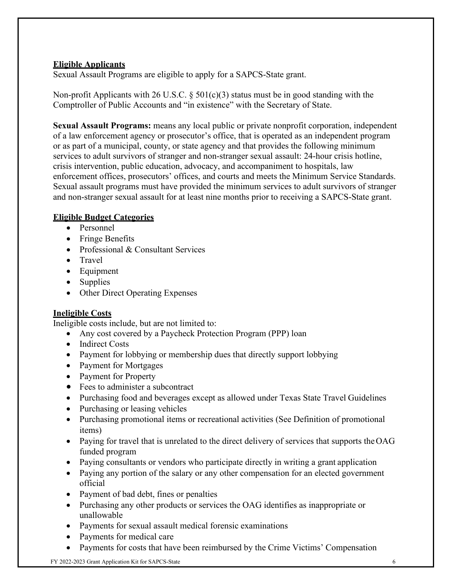## <span id="page-5-0"></span>**Eligible Applicants**

Sexual Assault Programs are eligible to apply for a SAPCS-State grant.

Non-profit Applicants with 26 U.S.C.  $\S$  501(c)(3) status must be in good standing with the Comptroller of Public Accounts and "in existence" with the Secretary of State.

**Sexual Assault Programs:** means any local public or private nonprofit corporation, independent of a law enforcement agency or prosecutor's office, that is operated as an independent program or as part of a municipal, county, or state agency and that provides the following minimum services to adult survivors of stranger and non-stranger sexual assault: 24-hour crisis hotline, crisis intervention, public education, advocacy, and accompaniment to hospitals, law enforcement offices, prosecutors' offices, and courts and meets the Minimum Service Standards. Sexual assault programs must have provided the minimum services to adult survivors of stranger and non-stranger sexual assault for at least nine months prior to receiving a SAPCS-State grant.

## <span id="page-5-1"></span>**Eligible Budget Categories**

- Personnel
- Fringe Benefits
- Professional & Consultant Services
- Travel
- Equipment
- Supplies
- Other Direct Operating Expenses

#### <span id="page-5-2"></span>**Ineligible Costs**

Ineligible costs include, but are not limited to:

- Any cost covered by a Paycheck Protection Program (PPP) loan
- Indirect Costs
- Payment for lobbying or membership dues that directly support lobbying
- Payment for Mortgages
- Payment for Property
- Fees to administer a subcontract
- Purchasing food and beverages except as allowed under Texas State Travel Guidelines
- Purchasing or leasing vehicles
- Purchasing promotional items or recreational activities (See Definition of promotional items)
- Paying for travel that is unrelated to the direct delivery of services that supports the OAG funded program
- Paying consultants or vendors who participate directly in writing a grant application
- Paying any portion of the salary or any other compensation for an elected government official
- Payment of bad debt, fines or penalties
- Purchasing any other products or services the OAG identifies as inappropriate or unallowable
- Payments for sexual assault medical forensic examinations
- Payments for medical care
- Payments for costs that have been reimbursed by the Crime Victims' Compensation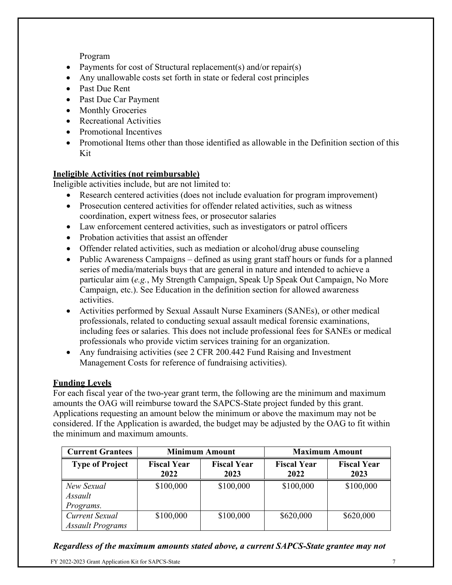Program

- Payments for cost of Structural replacement(s) and/or repair(s)
- Any unallowable costs set forth in state or federal cost principles
- Past Due Rent
- Past Due Car Payment
- Monthly Groceries
- Recreational Activities
- Promotional Incentives
- Promotional Items other than those identified as allowable in the Definition section of this Kit

## **Ineligible Activities (not reimbursable)**

Ineligible activities include, but are not limited to:

- Research centered activities (does not include evaluation for program improvement)
- Prosecution centered activities for offender related activities, such as witness coordination, expert witness fees, or prosecutor salaries
- Law enforcement centered activities, such as investigators or patrol officers
- Probation activities that assist an offender
- Offender related activities, such as mediation or alcohol/drug abuse counseling
- Public Awareness Campaigns defined as using grant staff hours or funds for a planned series of media/materials buys that are general in nature and intended to achieve a particular aim (*e.g.*, My Strength Campaign, Speak Up Speak Out Campaign, No More Campaign, etc.). See Education in the definition section for allowed awareness activities.
- Activities performed by Sexual Assault Nurse Examiners (SANEs), or other medical professionals, related to conducting sexual assault medical forensic examinations, including fees or salaries. This does not include professional fees for SANEs or medical professionals who provide victim services training for an organization.
- Any fundraising activities (see 2 CFR 200.442 Fund Raising and Investment Management Costs for reference of fundraising activities).

#### **Funding Levels**

For each fiscal year of the two-year grant term, the following are the minimum and maximum amounts the OAG will reimburse toward the SAPCS-State project funded by this grant. Applications requesting an amount below the minimum or above the maximum may not be considered. If the Application is awarded, the budget may be adjusted by the OAG to fit within the minimum and maximum amounts.

| <b>Current Grantees</b>                   | <b>Minimum Amount</b>      |                            | <b>Maximum Amount</b>      |                            |
|-------------------------------------------|----------------------------|----------------------------|----------------------------|----------------------------|
| <b>Type of Project</b>                    | <b>Fiscal Year</b><br>2022 | <b>Fiscal Year</b><br>2023 | <b>Fiscal Year</b><br>2022 | <b>Fiscal Year</b><br>2023 |
| New Sexual<br>Assault<br>Programs.        | \$100,000                  | \$100,000                  | \$100,000                  | \$100,000                  |
| Current Sexual<br><b>Assault Programs</b> | \$100,000                  | \$100,000                  | \$620,000                  | \$620,000                  |

#### *Regardless of the maximum amounts stated above, a current SAPCS-State grantee may not*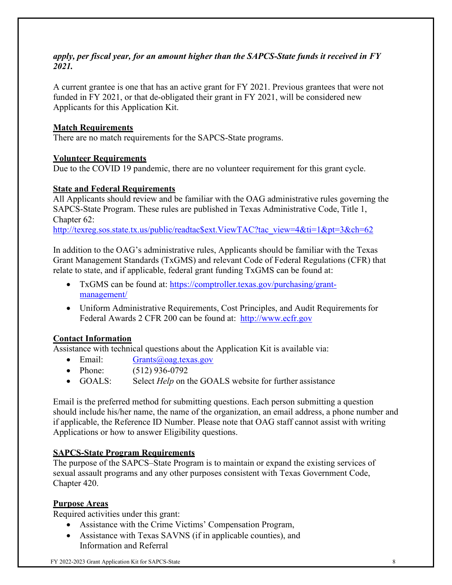#### *apply, per fiscal year, for an amount higher than the SAPCS-State funds it received in FY 2021.*

A current grantee is one that has an active grant for FY 2021. Previous grantees that were not funded in FY 2021, or that de-obligated their grant in FY 2021, will be considered new Applicants for this Application Kit.

#### <span id="page-7-0"></span>**Match Requirements**

There are no match requirements for the SAPCS-State programs.

#### <span id="page-7-1"></span>**Volunteer Requirements**

Due to the COVID 19 pandemic, there are no volunteer requirement for this grant cycle.

#### <span id="page-7-2"></span>**State and Federal Requirements**

All Applicants should review and be familiar with the OAG administrative rules governing the SAPCS-State Program. These rules are published in Texas Administrative Code, Title 1, Chapter 62:

[http://texreg.sos.state.tx.us/public/readtac\\$ext.ViewTAC?tac\\_view=4&ti=1&pt=3&ch=62](http://texreg.sos.state.tx.us/public/readtac%24ext.ViewTAC?tac_view=4&ti=1&pt=3&ch=62)

In addition to the OAG's administrative rules, Applicants should be familiar with the Texas Grant Management Standards (TxGMS) and relevant Code of Federal Regulations (CFR) that relate to state, and if applicable, federal grant funding TxGMS can be found at:

- TxGMS can be found at: [https://comptroller.texas.gov/purchasing/grant](https://comptroller.texas.gov/purchasing/grant-management/)[management/](https://comptroller.texas.gov/purchasing/grant-management/)
- Uniform Administrative Requirements, Cost Principles, and Audit Requirements for Federal Awards 2 CFR 200 can be found at: [http://www.ecfr.gov](http://www.ecfr.gov/)

#### <span id="page-7-3"></span>**Contact Information**

Assistance with technical questions about the Application Kit is available via:

- Email: [Grants@oag.texas.gov](mailto:Grants@oag.texas.gov)
- Phone: (512) 936-0792
- GOALS: Select *Help* on the GOALS website for further assistance

Email is the preferred method for submitting questions. Each person submitting a question should include his/her name, the name of the organization, an email address, a phone number and if applicable, the Reference ID Number. Please note that OAG staff cannot assist with writing Applications or how to answer Eligibility questions.

#### <span id="page-7-4"></span>**SAPCS-State Program Requirements**

The purpose of the SAPCS–State Program is to maintain or expand the existing services of sexual assault programs and any other purposes consistent with Texas Government Code, Chapter 420.

#### **Purpose Areas**

Required activities under this grant:

- Assistance with the Crime Victims' Compensation Program,
- Assistance with Texas SAVNS (if in applicable counties), and Information and Referral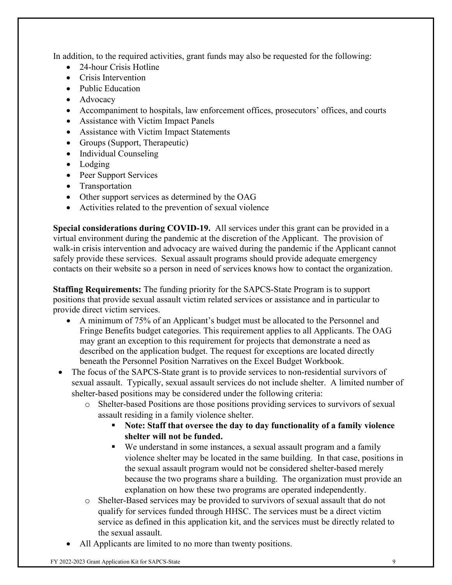In addition, to the required activities, grant funds may also be requested for the following:

- 24-hour Crisis Hotline
- Crisis Intervention
- Public Education
- Advocacy
- Accompaniment to hospitals, law enforcement offices, prosecutors' offices, and courts
- Assistance with Victim Impact Panels
- Assistance with Victim Impact Statements
- Groups (Support, Therapeutic)
- Individual Counseling
- Lodging
- Peer Support Services
- Transportation
- Other support services as determined by the OAG
- Activities related to the prevention of sexual violence

**Special considerations during COVID-19.** All services under this grant can be provided in a virtual environment during the pandemic at the discretion of the Applicant. The provision of walk-in crisis intervention and advocacy are waived during the pandemic if the Applicant cannot safely provide these services. Sexual assault programs should provide adequate emergency contacts on their website so a person in need of services knows how to contact the organization.

**Staffing Requirements:** The funding priority for the SAPCS-State Program is to support positions that provide sexual assault victim related services or assistance and in particular to provide direct victim services.

- A minimum of 75% of an Applicant's budget must be allocated to the Personnel and Fringe Benefits budget categories. This requirement applies to all Applicants. The OAG may grant an exception to this requirement for projects that demonstrate a need as described on the application budget. The request for exceptions are located directly beneath the Personnel Position Narratives on the Excel Budget Workbook.
- The focus of the SAPCS-State grant is to provide services to non-residential survivors of sexual assault. Typically, sexual assault services do not include shelter. A limited number of shelter-based positions may be considered under the following criteria:
	- o Shelter-based Positions are those positions providing services to survivors of sexual assault residing in a family violence shelter.
		- **Note: Staff that oversee the day to day functionality of a family violence shelter will not be funded.**
		- We understand in some instances, a sexual assault program and a family violence shelter may be located in the same building. In that case, positions in the sexual assault program would not be considered shelter-based merely because the two programs share a building. The organization must provide an explanation on how these two programs are operated independently.
	- o Shelter-Based services may be provided to survivors of sexual assault that do not qualify for services funded through HHSC. The services must be a direct victim service as defined in this application kit, and the services must be directly related to the sexual assault.
	- All Applicants are limited to no more than twenty positions.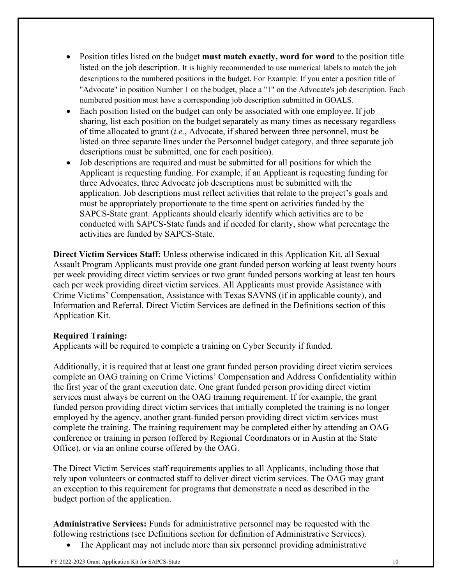- Position titles listed on the budget **must match exactly, word for word** to the position title listed on the job description. It is highly recommended to use numerical labels to match the job descriptions to the numbered positions in the budget. For Example: If you enter a position title of "Advocate" in position Number 1 on the budget, place a "1" on the Advocate's job description. Each numbered position must have a corresponding job description submitted in GOALS.
- Each position listed on the budget can only be associated with one employee. If job sharing, list each position on the budget separately as many times as necessary regardless of time allocated to grant (*i.e.*, Advocate, if shared between three personnel, must be listed on three separate lines under the Personnel budget category, and three separate job descriptions must be submitted, one for each position).
- Job descriptions are required and must be submitted for all positions for which the Applicant is requesting funding. For example, if an Applicant is requesting funding for three Advocates, three Advocate job descriptions must be submitted with the application. Job descriptions must reflect activities that relate to the project's goals and must be appropriately proportionate to the time spent on activities funded by the SAPCS-State grant. Applicants should clearly identify which activities are to be conducted with SAPCS-State funds and if needed for clarity, show what percentage the activities are funded by SAPCS-State.

**Direct Victim Services Staff:** Unless otherwise indicated in this Application Kit, all Sexual Assault Program Applicants must provide one grant funded person working at least twenty hours per week providing direct victim services or two grant funded persons working at least ten hours each per week providing direct victim services. All Applicants must provide Assistance with Crime Victims' Compensation, Assistance with Texas SAVNS (if in applicable county), and Information and Referral. Direct Victim Services are defined in the Definitions section of this Application Kit.

#### **Required Training:**

Applicants will be required to complete a training on Cyber Security if funded.

Additionally, it is required that at least one grant funded person providing direct victim services complete an OAG training on Crime Victims' Compensation and Address Confidentiality within the first year of the grant execution date. One grant funded person providing direct victim services must always be current on the OAG training requirement. If for example, the grant funded person providing direct victim services that initially completed the training is no longer employed by the agency, another grant-funded person providing direct victim services must complete the training. The training requirement may be completed either by attending an OAG conference or training in person (offered by Regional Coordinators or in Austin at the State Office), or via an online course offered by the OAG.

The Direct Victim Services staff requirements applies to all Applicants, including those that rely upon volunteers or contracted staff to deliver direct victim services. The OAG may grant an exception to this requirement for programs that demonstrate a need as described in the budget portion of the application.

**Administrative Services:** Funds for administrative personnel may be requested with the following restrictions (see Definitions section for definition of Administrative Services).

The Applicant may not include more than six personnel providing administrative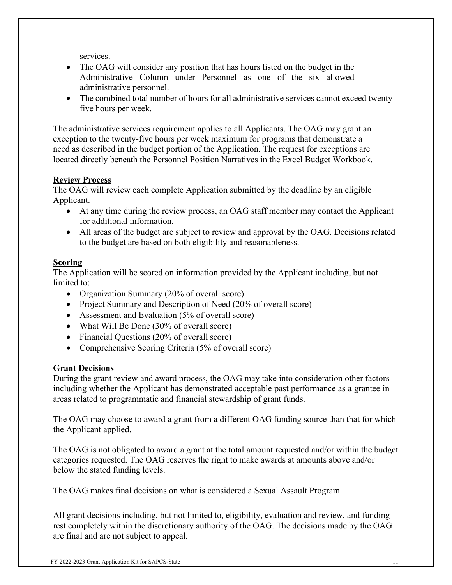services.

- The OAG will consider any position that has hours listed on the budget in the Administrative Column under Personnel as one of the six allowed administrative personnel.
- The combined total number of hours for all administrative services cannot exceed twentyfive hours per week.

The administrative services requirement applies to all Applicants. The OAG may grant an exception to the twenty-five hours per week maximum for programs that demonstrate a need as described in the budget portion of the Application. The request for exceptions are located directly beneath the Personnel Position Narratives in the Excel Budget Workbook.

## <span id="page-10-0"></span>**Review Process**

The OAG will review each complete Application submitted by the deadline by an eligible Applicant.

- At any time during the review process, an OAG staff member may contact the Applicant for additional information.
- All areas of the budget are subject to review and approval by the OAG. Decisions related to the budget are based on both eligibility and reasonableness.

## <span id="page-10-1"></span>**Scoring**

The Application will be scored on information provided by the Applicant including, but not limited to:

- Organization Summary (20% of overall score)
- Project Summary and Description of Need (20% of overall score)
- Assessment and Evaluation (5% of overall score)
- What Will Be Done (30% of overall score)
- Financial Questions (20% of overall score)
- Comprehensive Scoring Criteria (5% of overall score)

## <span id="page-10-2"></span>**Grant Decisions**

During the grant review and award process, the OAG may take into consideration other factors including whether the Applicant has demonstrated acceptable past performance as a grantee in areas related to programmatic and financial stewardship of grant funds.

The OAG may choose to award a grant from a different OAG funding source than that for which the Applicant applied.

The OAG is not obligated to award a grant at the total amount requested and/or within the budget categories requested. The OAG reserves the right to make awards at amounts above and/or below the stated funding levels.

The OAG makes final decisions on what is considered a Sexual Assault Program.

All grant decisions including, but not limited to, eligibility, evaluation and review, and funding rest completely within the discretionary authority of the OAG. The decisions made by the OAG are final and are not subject to appeal.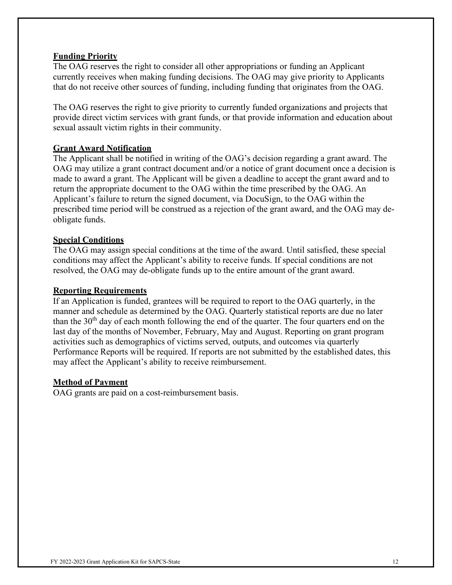#### <span id="page-11-0"></span>**Funding Priority**

The OAG reserves the right to consider all other appropriations or funding an Applicant currently receives when making funding decisions. The OAG may give priority to Applicants that do not receive other sources of funding, including funding that originates from the OAG.

The OAG reserves the right to give priority to currently funded organizations and projects that provide direct victim services with grant funds, or that provide information and education about sexual assault victim rights in their community.

#### <span id="page-11-1"></span>**Grant Award Notification**

The Applicant shall be notified in writing of the OAG's decision regarding a grant award. The OAG may utilize a grant contract document and/or a notice of grant document once a decision is made to award a grant. The Applicant will be given a deadline to accept the grant award and to return the appropriate document to the OAG within the time prescribed by the OAG. An Applicant's failure to return the signed document, via DocuSign, to the OAG within the prescribed time period will be construed as a rejection of the grant award, and the OAG may deobligate funds.

#### <span id="page-11-2"></span>**Special Conditions**

The OAG may assign special conditions at the time of the award. Until satisfied, these special conditions may affect the Applicant's ability to receive funds. If special conditions are not resolved, the OAG may de-obligate funds up to the entire amount of the grant award.

#### <span id="page-11-3"></span>**Reporting Requirements**

If an Application is funded, grantees will be required to report to the OAG quarterly, in the manner and schedule as determined by the OAG. Quarterly statistical reports are due no later than the  $30<sup>th</sup>$  day of each month following the end of the quarter. The four quarters end on the last day of the months of November, February, May and August. Reporting on grant program activities such as demographics of victims served, outputs, and outcomes via quarterly Performance Reports will be required. If reports are not submitted by the established dates, this may affect the Applicant's ability to receive reimbursement.

#### <span id="page-11-4"></span>**Method of Payment**

OAG grants are paid on a cost-reimbursement basis.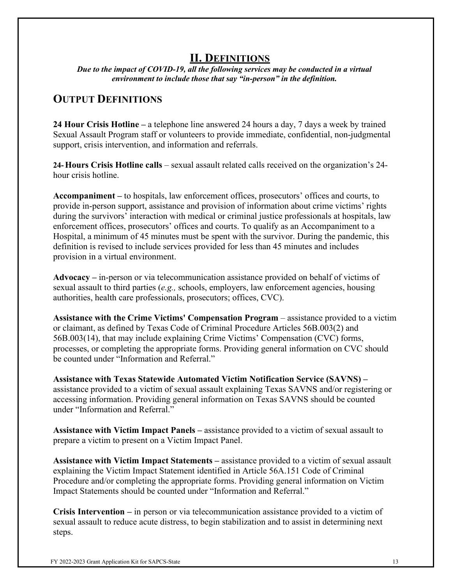## **II. DEFINITIONS**

<span id="page-12-0"></span>*Due to the impact of COVID-19, all the following services may be conducted in a virtual environment to include those that say "in-person" in the definition.*

## <span id="page-12-1"></span>**OUTPUT DEFINITIONS**

**24 Hour Crisis Hotline –** a telephone line answered 24 hours a day, 7 days a week by trained Sexual Assault Program staff or volunteers to provide immediate, confidential, non-judgmental support, crisis intervention, and information and referrals.

**24-Hours Crisis Hotline calls** – sexual assault related calls received on the organization's 24 hour crisis hotline.

**Accompaniment –** to hospitals, law enforcement offices, prosecutors' offices and courts, to provide in-person support, assistance and provision of information about crime victims' rights during the survivors' interaction with medical or criminal justice professionals at hospitals, law enforcement offices, prosecutors' offices and courts. To qualify as an Accompaniment to a Hospital, a minimum of 45 minutes must be spent with the survivor. During the pandemic, this definition is revised to include services provided for less than 45 minutes and includes provision in a virtual environment.

**Advocacy –** in-person or via telecommunication assistance provided on behalf of victims of sexual assault to third parties (*e.g.,* schools, employers, law enforcement agencies, housing authorities, health care professionals, prosecutors; offices, CVC).

**Assistance with the Crime Victims' Compensation Program** – assistance provided to a victim or claimant, as defined by Texas Code of Criminal Procedure Articles 56B.003(2) and 56B.003(14), that may include explaining Crime Victims' Compensation (CVC) forms, processes, or completing the appropriate forms. Providing general information on CVC should be counted under "Information and Referral."

**Assistance with Texas Statewide Automated Victim Notification Service (SAVNS) –** assistance provided to a victim of sexual assault explaining Texas SAVNS and/or registering or accessing information. Providing general information on Texas SAVNS should be counted under "Information and Referral."

**Assistance with Victim Impact Panels –** assistance provided to a victim of sexual assault to prepare a victim to present on a Victim Impact Panel.

**Assistance with Victim Impact Statements –** assistance provided to a victim of sexual assault explaining the Victim Impact Statement identified in Article 56A.151 Code of Criminal Procedure and/or completing the appropriate forms. Providing general information on Victim Impact Statements should be counted under "Information and Referral."

**Crisis Intervention –** in person or via telecommunication assistance provided to a victim of sexual assault to reduce acute distress, to begin stabilization and to assist in determining next steps.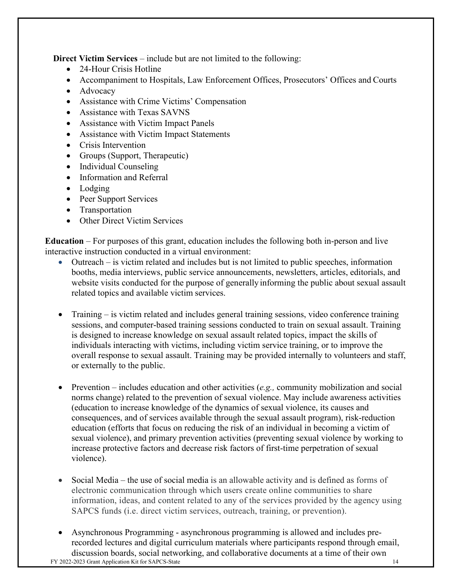**Direct Victim Services** – include but are not limited to the following:

- 24-Hour Crisis Hotline
- Accompaniment to Hospitals, Law Enforcement Offices, Prosecutors' Offices and Courts
- Advocacy
- Assistance with Crime Victims' Compensation
- Assistance with Texas SAVNS
- Assistance with Victim Impact Panels
- Assistance with Victim Impact Statements
- Crisis Intervention
- Groups (Support, Therapeutic)
- Individual Counseling
- Information and Referral
- Lodging
- Peer Support Services
- Transportation
- Other Direct Victim Services

**Education** – For purposes of this grant, education includes the following both in-person and live interactive instruction conducted in a virtual environment:

- Outreach is victim related and includes but is not limited to public speeches, information booths, media interviews, public service announcements, newsletters, articles, editorials, and website visits conducted for the purpose of generally informing the public about sexual assault related topics and available victim services.
- Training is victim related and includes general training sessions, video conference training sessions, and computer-based training sessions conducted to train on sexual assault. Training is designed to increase knowledge on sexual assault related topics, impact the skills of individuals interacting with victims, including victim service training, or to improve the overall response to sexual assault. Training may be provided internally to volunteers and staff, or externally to the public.
- Prevention includes education and other activities (*e.g.,* community mobilization and social norms change) related to the prevention of sexual violence. May include awareness activities (education to increase knowledge of the dynamics of sexual violence, its causes and consequences, and of services available through the sexual assault program), risk-reduction education (efforts that focus on reducing the risk of an individual in becoming a victim of sexual violence), and primary prevention activities (preventing sexual violence by working to increase protective factors and decrease risk factors of first-time perpetration of sexual violence).
- Social Media the use of social media is an allowable activity and is defined as forms of electronic communication through which users create online communities to share information, ideas, and content related to any of the services provided by the agency using SAPCS funds (i.e. direct victim services, outreach, training, or prevention).
- FY 2022-2023 Grant Application Kit for SAPCS-State 14 • Asynchronous Programming - asynchronous programming is allowed and includes prerecorded lectures and digital curriculum materials where participants respond through email, discussion boards, social networking, and collaborative documents at a time of their own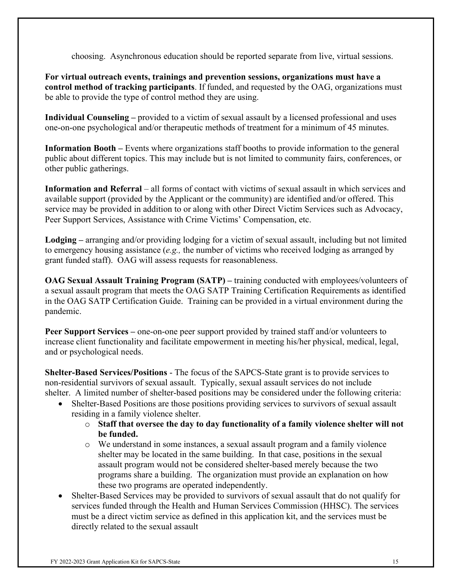choosing. Asynchronous education should be reported separate from live, virtual sessions.

**For virtual outreach events, trainings and prevention sessions, organizations must have a control method of tracking participants**. If funded, and requested by the OAG, organizations must be able to provide the type of control method they are using.

**Individual Counseling –** provided to a victim of sexual assault by a licensed professional and uses one-on-one psychological and/or therapeutic methods of treatment for a minimum of 45 minutes.

**Information Booth –** Events where organizations staff booths to provide information to the general public about different topics. This may include but is not limited to community fairs, conferences, or other public gatherings.

**Information and Referral** – all forms of contact with victims of sexual assault in which services and available support (provided by the Applicant or the community) are identified and/or offered. This service may be provided in addition to or along with other Direct Victim Services such as Advocacy, Peer Support Services, Assistance with Crime Victims' Compensation, etc.

**Lodging –** arranging and/or providing lodging for a victim of sexual assault, including but not limited to emergency housing assistance (*e.g.,* the number of victims who received lodging as arranged by grant funded staff). OAG will assess requests for reasonableness.

**OAG Sexual Assault Training Program (SATP) –** training conducted with employees/volunteers of a sexual assault program that meets the OAG SATP Training Certification Requirements as identified in the OAG SATP Certification Guide. Training can be provided in a virtual environment during the pandemic.

**Peer Support Services –** one-on-one peer support provided by trained staff and/or volunteers to increase client functionality and facilitate empowerment in meeting his/her physical, medical, legal, and or psychological needs.

**Shelter-Based Services/Positions** - The focus of the SAPCS-State grant is to provide services to non-residential survivors of sexual assault. Typically, sexual assault services do not include shelter. A limited number of shelter-based positions may be considered under the following criteria:

- Shelter-Based Positions are those positions providing services to survivors of sexual assault residing in a family violence shelter.
	- o **Staff that oversee the day to day functionality of a family violence shelter will not be funded.**
	- o We understand in some instances, a sexual assault program and a family violence shelter may be located in the same building. In that case, positions in the sexual assault program would not be considered shelter-based merely because the two programs share a building. The organization must provide an explanation on how these two programs are operated independently.
- Shelter-Based Services may be provided to survivors of sexual assault that do not qualify for services funded through the Health and Human Services Commission (HHSC). The services must be a direct victim service as defined in this application kit, and the services must be directly related to the sexual assault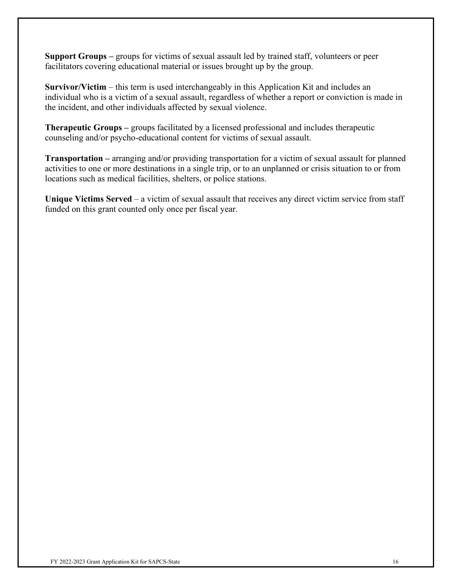**Support Groups –** groups for victims of sexual assault led by trained staff, volunteers or peer facilitators covering educational material or issues brought up by the group.

**Survivor/Victim** – this term is used interchangeably in this Application Kit and includes an individual who is a victim of a sexual assault, regardless of whether a report or conviction is made in the incident, and other individuals affected by sexual violence.

**Therapeutic Groups –** groups facilitated by a licensed professional and includes therapeutic counseling and/or psycho-educational content for victims of sexual assault.

**Transportation –** arranging and/or providing transportation for a victim of sexual assault for planned activities to one or more destinations in a single trip, or to an unplanned or crisis situation to or from locations such as medical facilities, shelters, or police stations.

**Unique Victims Served** – a victim of sexual assault that receives any direct victim service from staff funded on this grant counted only once per fiscal year.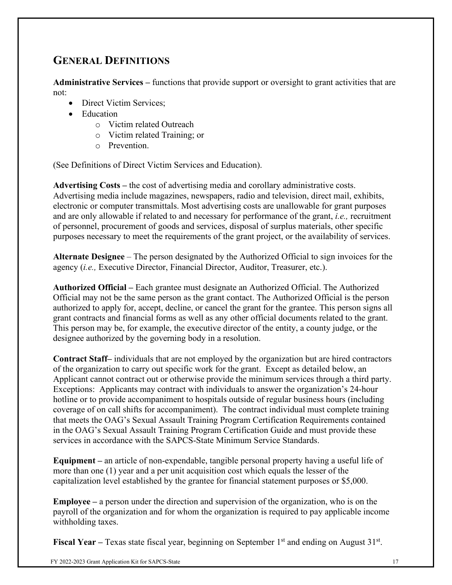# <span id="page-16-0"></span>**GENERAL DEFINITIONS**

**Administrative Services –** functions that provide support or oversight to grant activities that are not:

- Direct Victim Services:
- Education
	- o Victim related Outreach
	- o Victim related Training; or
	- o Prevention.

(See Definitions of Direct Victim Services and Education).

**Advertising Costs –** the cost of advertising media and corollary administrative costs. Advertising media include magazines, newspapers, radio and television, direct mail, exhibits, electronic or computer transmittals. Most advertising costs are unallowable for grant purposes and are only allowable if related to and necessary for performance of the grant, *i.e.,* recruitment of personnel, procurement of goods and services, disposal of surplus materials, other specific purposes necessary to meet the requirements of the grant project, or the availability of services.

**Alternate Designee** – The person designated by the Authorized Official to sign invoices for the agency (*i.e.,* Executive Director, Financial Director, Auditor, Treasurer, etc.).

**Authorized Official –** Each grantee must designate an Authorized Official. The Authorized Official may not be the same person as the grant contact. The Authorized Official is the person authorized to apply for, accept, decline, or cancel the grant for the grantee. This person signs all grant contracts and financial forms as well as any other official documents related to the grant. This person may be, for example, the executive director of the entity, a county judge, or the designee authorized by the governing body in a resolution.

**Contract Staff–** individuals that are not employed by the organization but are hired contractors of the organization to carry out specific work for the grant. Except as detailed below, an Applicant cannot contract out or otherwise provide the minimum services through a third party. Exceptions: Applicants may contract with individuals to answer the organization's 24-hour hotline or to provide accompaniment to hospitals outside of regular business hours (including coverage of on call shifts for accompaniment). The contract individual must complete training that meets the OAG's Sexual Assault Training Program Certification Requirements contained in the OAG's Sexual Assault Training Program Certification Guide and must provide these services in accordance with the SAPCS-State Minimum Service Standards.

**Equipment –** an article of non-expendable, tangible personal property having a useful life of more than one (1) year and a per unit acquisition cost which equals the lesser of the capitalization level established by the grantee for financial statement purposes or \$5,000.

**Employee –** a person under the direction and supervision of the organization, who is on the payroll of the organization and for whom the organization is required to pay applicable income withholding taxes.

**Fiscal Year** – Texas state fiscal year, beginning on September 1<sup>st</sup> and ending on August 31<sup>st</sup>.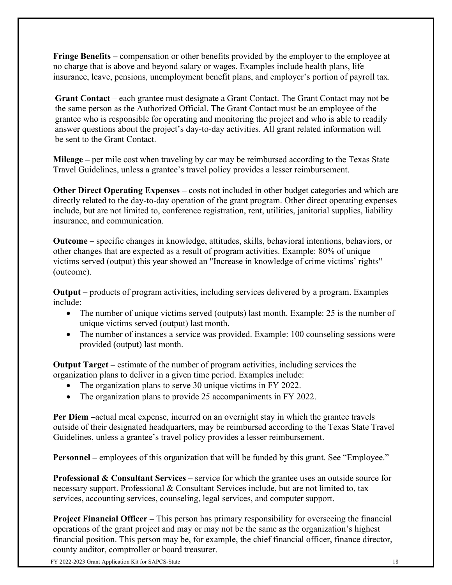**Fringe Benefits –** compensation or other benefits provided by the employer to the employee at no charge that is above and beyond salary or wages. Examples include health plans, life insurance, leave, pensions, unemployment benefit plans, and employer's portion of payroll tax.

**Grant Contact** – each grantee must designate a Grant Contact. The Grant Contact may not be the same person as the Authorized Official. The Grant Contact must be an employee of the grantee who is responsible for operating and monitoring the project and who is able to readily answer questions about the project's day-to-day activities. All grant related information will be sent to the Grant Contact.

**Mileage –** per mile cost when traveling by car may be reimbursed according to the Texas State Travel Guidelines, unless a grantee's travel policy provides a lesser reimbursement.

**Other Direct Operating Expenses** – costs not included in other budget categories and which are directly related to the day-to-day operation of the grant program. Other direct operating expenses include, but are not limited to, conference registration, rent, utilities, janitorial supplies, liability insurance, and communication.

**Outcome –** specific changes in knowledge, attitudes, skills, behavioral intentions, behaviors, or other changes that are expected as a result of program activities. Example: 80% of unique victims served (output) this year showed an "Increase in knowledge of crime victims' rights" (outcome).

**Output –** products of program activities, including services delivered by a program. Examples include:

- The number of unique victims served (outputs) last month. Example: 25 is the number of unique victims served (output) last month.
- The number of instances a service was provided. Example: 100 counseling sessions were provided (output) last month.

**Output Target –** estimate of the number of program activities, including services the organization plans to deliver in a given time period. Examples include:

- The organization plans to serve 30 unique victims in FY 2022.
- The organization plans to provide 25 accompaniments in FY 2022.

**Per Diem –**actual meal expense, incurred on an overnight stay in which the grantee travels outside of their designated headquarters, may be reimbursed according to the Texas State Travel Guidelines, unless a grantee's travel policy provides a lesser reimbursement.

**Personnel** – employees of this organization that will be funded by this grant. See "Employee."

**Professional & Consultant Services –** service for which the grantee uses an outside source for necessary support. Professional & Consultant Services include, but are not limited to, tax services, accounting services, counseling, legal services, and computer support.

**Project Financial Officer** – This person has primary responsibility for overseeing the financial operations of the grant project and may or may not be the same as the organization's highest financial position. This person may be, for example, the chief financial officer, finance director, county auditor, comptroller or board treasurer.

FY 2022-2023 Grant Application Kit for SAPCS-State 18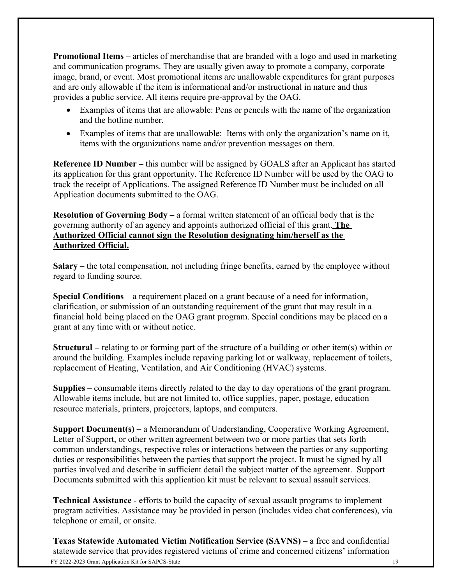**Promotional Items** – articles of merchandise that are branded with a logo and used in marketing and communication programs. They are usually given away to promote a company, corporate image, brand, or event. Most promotional items are unallowable expenditures for grant purposes and are only allowable if the item is informational and/or instructional in nature and thus provides a public service. All items require pre-approval by the OAG.

- Examples of items that are allowable: Pens or pencils with the name of the organization and the hotline number.
- Examples of items that are unallowable: Items with only the organization's name on it, items with the organizations name and/or prevention messages on them.

**Reference ID Number –** this number will be assigned by GOALS after an Applicant has started its application for this grant opportunity. The Reference ID Number will be used by the OAG to track the receipt of Applications. The assigned Reference ID Number must be included on all Application documents submitted to the OAG.

**Resolution of Governing Body –** a formal written statement of an official body that is the governing authority of an agency and appoints authorized official of this grant. **The Authorized Official cannot sign the Resolution designating him/herself as the Authorized Official.**

**Salary –** the total compensation, not including fringe benefits, earned by the employee without regard to funding source.

**Special Conditions** – a requirement placed on a grant because of a need for information, clarification, or submission of an outstanding requirement of the grant that may result in a financial hold being placed on the OAG grant program. Special conditions may be placed on a grant at any time with or without notice.

**Structural –** relating to or forming part of the structure of a building or other item(s) within or around the building. Examples include repaving parking lot or walkway, replacement of toilets, replacement of Heating, Ventilation, and Air Conditioning (HVAC) systems.

**Supplies –** consumable items directly related to the day to day operations of the grant program. Allowable items include, but are not limited to, office supplies, paper, postage, education resource materials, printers, projectors, laptops, and computers.

**Support Document(s) –** a Memorandum of Understanding, Cooperative Working Agreement, Letter of Support, or other written agreement between two or more parties that sets forth common understandings, respective roles or interactions between the parties or any supporting duties or responsibilities between the parties that support the project. It must be signed by all parties involved and describe in sufficient detail the subject matter of the agreement. Support Documents submitted with this application kit must be relevant to sexual assault services.

**Technical Assistance** - efforts to build the capacity of sexual assault programs to implement program activities. Assistance may be provided in person (includes video chat conferences), via telephone or email, or onsite.

FY 2022-2023 Grant Application Kit for SAPCS-State 19 **Texas Statewide Automated Victim Notification Service (SAVNS)** – a free and confidential statewide service that provides registered victims of crime and concerned citizens' information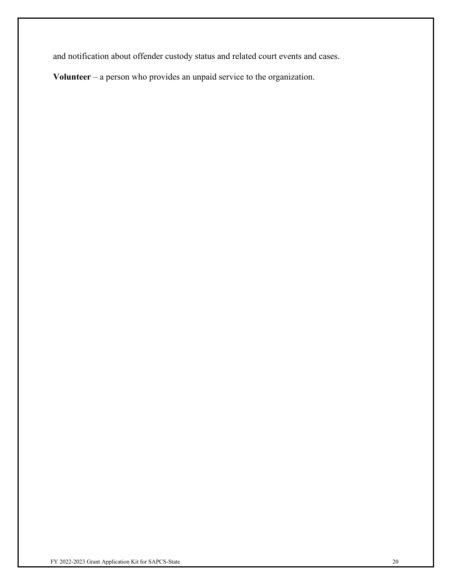and notification about offender custody status and related court events and cases.

**Volunteer** – a person who provides an unpaid service to the organization.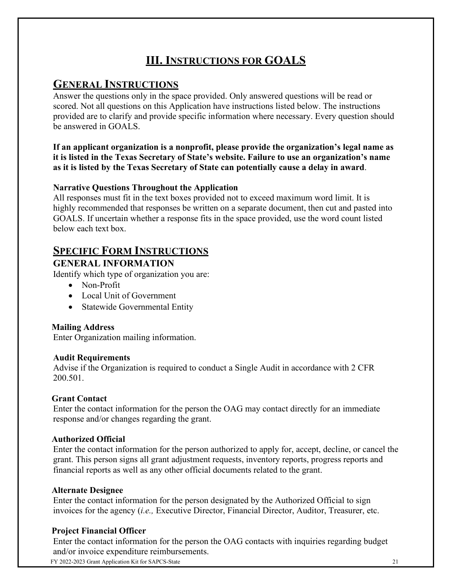# **III. INSTRUCTIONS FOR GOALS**

## **GENERAL INSTRUCTIONS**

Answer the questions only in the space provided. Only answered questions will be read or scored. Not all questions on this Application have instructions listed below. The instructions provided are to clarify and provide specific information where necessary. Every question should be answered in GOALS.

#### **If an applicant organization is a nonprofit, please provide the organization's legal name as it is listed in the Texas Secretary of State's website. Failure to use an organization's name as it is listed by the Texas Secretary of State can potentially cause a delay in award**.

## **Narrative Questions Throughout the Application**

All responses must fit in the text boxes provided not to exceed maximum word limit. It is highly recommended that responses be written on a separate document, then cut and pasted into GOALS. If uncertain whether a response fits in the space provided, use the word count listed below each text box.

## **SPECIFIC FORM INSTRUCTIONS**

## **GENERAL INFORMATION**

Identify which type of organization you are:

- Non-Profit
- Local Unit of Government
- Statewide Governmental Entity

## **Mailing Address**

Enter Organization mailing information.

#### **Audit Requirements**

Advise if the Organization is required to conduct a Single Audit in accordance with 2 CFR 200.501.

## **Grant Contact**

Enter the contact information for the person the OAG may contact directly for an immediate response and/or changes regarding the grant.

#### **Authorized Official**

Enter the contact information for the person authorized to apply for, accept, decline, or cancel the grant. This person signs all grant adjustment requests, inventory reports, progress reports and financial reports as well as any other official documents related to the grant.

#### **Alternate Designee**

Enter the contact information for the person designated by the Authorized Official to sign invoices for the agency (*i.e.,* Executive Director, Financial Director, Auditor, Treasurer, etc.

## **Project Financial Officer**

Enter the contact information for the person the OAG contacts with inquiries regarding budget and/or invoice expenditure reimbursements.

FY 2022-2023 Grant Application Kit for SAPCS-State 21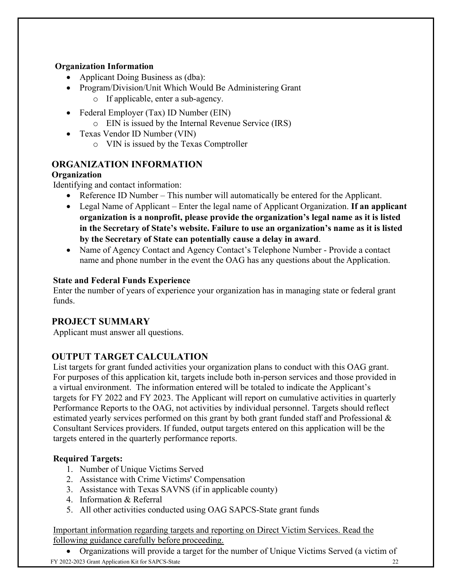## **Organization Information**

- Applicant Doing Business as (dba):
- Program/Division/Unit Which Would Be Administering Grant
	- o If applicable, enter a sub-agency.
- Federal Employer (Tax) ID Number (EIN)
	- o EIN is issued by the Internal Revenue Service (IRS)
- Texas Vendor ID Number (VIN)
	- o VIN is issued by the Texas Comptroller

## **ORGANIZATION INFORMATION**

## **Organization**

Identifying and contact information:

- Reference ID Number This number will automatically be entered for the Applicant.
- Legal Name of Applicant Enter the legal name of Applicant Organization. **If an applicant organization is a nonprofit, please provide the organization's legal name as it is listed in the Secretary of State's website. Failure to use an organization's name as it is listed by the Secretary of State can potentially cause a delay in award**.
- Name of Agency Contact and Agency Contact's Telephone Number Provide a contact name and phone number in the event the OAG has any questions about the Application.

## **State and Federal Funds Experience**

Enter the number of years of experience your organization has in managing state or federal grant funds.

## **PROJECT SUMMARY**

Applicant must answer all questions.

## **OUTPUT TARGET CALCULATION**

List targets for grant funded activities your organization plans to conduct with this OAG grant. For purposes of this application kit, targets include both in-person services and those provided in a virtual environment. The information entered will be totaled to indicate the Applicant's targets for FY 2022 and FY 2023. The Applicant will report on cumulative activities in quarterly Performance Reports to the OAG, not activities by individual personnel. Targets should reflect estimated yearly services performed on this grant by both grant funded staff and Professional & Consultant Services providers. If funded, output targets entered on this application will be the targets entered in the quarterly performance reports.

## **Required Targets:**

- 1. Number of Unique Victims Served
- 2. Assistance with Crime Victims' Compensation
- 3. Assistance with Texas SAVNS (if in applicable county)
- 4. Information & Referral
- 5. All other activities conducted using OAG SAPCS-State grant funds

Important information regarding targets and reporting on Direct Victim Services. Read the following guidance carefully before proceeding.

FY 2022-2023 Grant Application Kit for SAPCS-State 22 • Organizations will provide a target for the number of Unique Victims Served (a victim of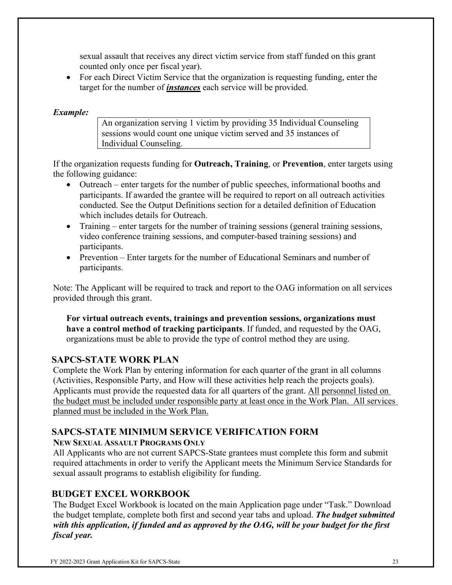sexual assault that receives any direct victim service from staff funded on this grant counted only once per fiscal year).

• For each Direct Victim Service that the organization is requesting funding, enter the target for the number of *instances* each service will be provided.

#### *Example:*

An organization serving 1 victim by providing 35 Individual Counseling sessions would count one unique victim served and 35 instances of Individual Counseling.

If the organization requests funding for **Outreach, Training**, or **Prevention**, enter targets using the following guidance:

- Outreach enter targets for the number of public speeches, informational booths and participants. If awarded the grantee will be required to report on all outreach activities conducted. See the Output Definitions section for a detailed definition of Education which includes details for Outreach.
- Training enter targets for the number of training sessions (general training sessions, video conference training sessions, and computer-based training sessions) and participants.
- Prevention Enter targets for the number of Educational Seminars and number of participants.

Note: The Applicant will be required to track and report to the OAG information on all services provided through this grant.

**For virtual outreach events, trainings and prevention sessions, organizations must have a control method of tracking participants**. If funded, and requested by the OAG, organizations must be able to provide the type of control method they are using.

#### **SAPCS-STATE WORK PLAN**

Complete the Work Plan by entering information for each quarter of the grant in all columns (Activities, Responsible Party, and How will these activities help reach the projects goals). Applicants must provide the requested data for all quarters of the grant. All personnel listed on the budget must be included under responsible party at least once in the Work Plan. All services planned must be included in the Work Plan.

#### **SAPCS-STATE MINIMUM SERVICE VERIFICATION FORM NEW SEXUAL ASSAULT PROGRAMS ONLY**

All Applicants who are not current SAPCS-State grantees must complete this form and submit required attachments in order to verify the Applicant meets the Minimum Service Standards for sexual assault programs to establish eligibility for funding.

## **BUDGET EXCEL WORKBOOK**

The Budget Excel Workbook is located on the main Application page under "Task." Download the budget template, complete both first and second year tabs and upload. *The budget submitted with this application, if funded and as approved by the OAG, will be your budget for the first fiscal year.*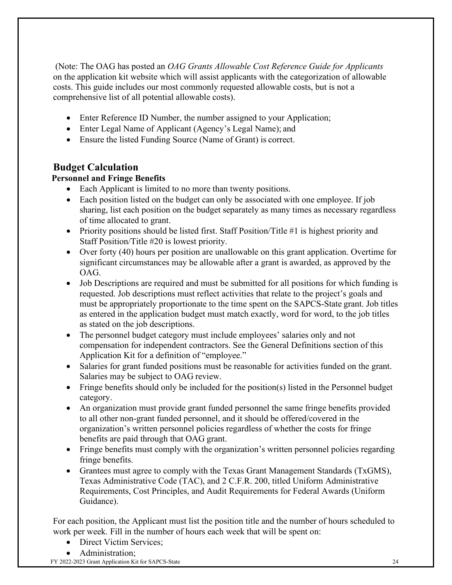(Note: The OAG has posted an *OAG Grants Allowable Cost Reference Guide for Applicants* on the application kit website which will assist applicants with the categorization of allowable costs. This guide includes our most commonly requested allowable costs, but is not a comprehensive list of all potential allowable costs).

- Enter Reference ID Number, the number assigned to your Application;
- Enter Legal Name of Applicant (Agency's Legal Name); and
- Ensure the listed Funding Source (Name of Grant) is correct.

## **Budget Calculation**

## **Personnel and Fringe Benefits**

- Each Applicant is limited to no more than twenty positions.
- Each position listed on the budget can only be associated with one employee. If job sharing, list each position on the budget separately as many times as necessary regardless of time allocated to grant.
- Priority positions should be listed first. Staff Position/Title #1 is highest priority and Staff Position/Title #20 is lowest priority.
- Over forty (40) hours per position are unallowable on this grant application. Overtime for significant circumstances may be allowable after a grant is awarded, as approved by the OAG.
- Job Descriptions are required and must be submitted for all positions for which funding is requested. Job descriptions must reflect activities that relate to the project's goals and must be appropriately proportionate to the time spent on the SAPCS-State grant. Job titles as entered in the application budget must match exactly, word for word, to the job titles as stated on the job descriptions.
- The personnel budget category must include employees' salaries only and not compensation for independent contractors. See the General Definitions section of this Application Kit for a definition of "employee."
- Salaries for grant funded positions must be reasonable for activities funded on the grant. Salaries may be subject to OAG review.
- Fringe benefits should only be included for the position(s) listed in the Personnel budget category.
- An organization must provide grant funded personnel the same fringe benefits provided to all other non-grant funded personnel, and it should be offered/covered in the organization's written personnel policies regardless of whether the costs for fringe benefits are paid through that OAG grant.
- Fringe benefits must comply with the organization's written personnel policies regarding fringe benefits.
- Grantees must agree to comply with the Texas Grant Management Standards (TxGMS), Texas Administrative Code (TAC), and 2 C.F.R. 200, titled Uniform Administrative Requirements, Cost Principles, and Audit Requirements for Federal Awards (Uniform Guidance).

For each position, the Applicant must list the position title and the number of hours scheduled to work per week. Fill in the number of hours each week that will be spent on:

- Direct Victim Services:
- Administration;

FY 2022-2023 Grant Application Kit for SAPCS-State 24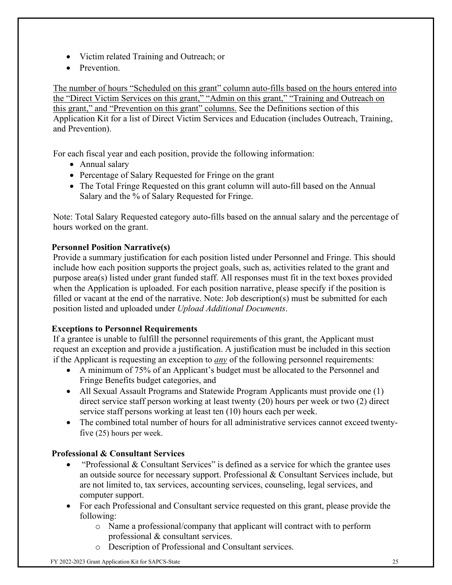- Victim related Training and Outreach; or
- Prevention.

The number of hours "Scheduled on this grant" column auto-fills based on the hours entered into the "Direct Victim Services on this grant," "Admin on this grant," "Training and Outreach on this grant," and "Prevention on this grant" columns. See the Definitions section of this Application Kit for a list of Direct Victim Services and Education (includes Outreach, Training, and Prevention).

For each fiscal year and each position, provide the following information:

- Annual salary
- Percentage of Salary Requested for Fringe on the grant
- The Total Fringe Requested on this grant column will auto-fill based on the Annual Salary and the % of Salary Requested for Fringe.

Note: Total Salary Requested category auto-fills based on the annual salary and the percentage of hours worked on the grant.

## **Personnel Position Narrative(s)**

Provide a summary justification for each position listed under Personnel and Fringe. This should include how each position supports the project goals, such as, activities related to the grant and purpose area(s) listed under grant funded staff. All responses must fit in the text boxes provided when the Application is uploaded. For each position narrative, please specify if the position is filled or vacant at the end of the narrative. Note: Job description(s) must be submitted for each position listed and uploaded under *Upload Additional Documents*.

#### **Exceptions to Personnel Requirements**

If a grantee is unable to fulfill the personnel requirements of this grant, the Applicant must request an exception and provide a justification. A justification must be included in this section if the Applicant is requesting an exception to *any* of the following personnel requirements:

- A minimum of 75% of an Applicant's budget must be allocated to the Personnel and Fringe Benefits budget categories, and
- All Sexual Assault Programs and Statewide Program Applicants must provide one (1) direct service staff person working at least twenty (20) hours per week or two (2) direct service staff persons working at least ten (10) hours each per week.
- The combined total number of hours for all administrative services cannot exceed twentyfive (25) hours per week.

## **Professional & Consultant Services**

- "Professional & Consultant Services" is defined as a service for which the grantee uses an outside source for necessary support. Professional & Consultant Services include, but are not limited to, tax services, accounting services, counseling, legal services, and computer support.
- For each Professional and Consultant service requested on this grant, please provide the following:
	- o Name a professional/company that applicant will contract with to perform professional & consultant services.
	- o Description of Professional and Consultant services.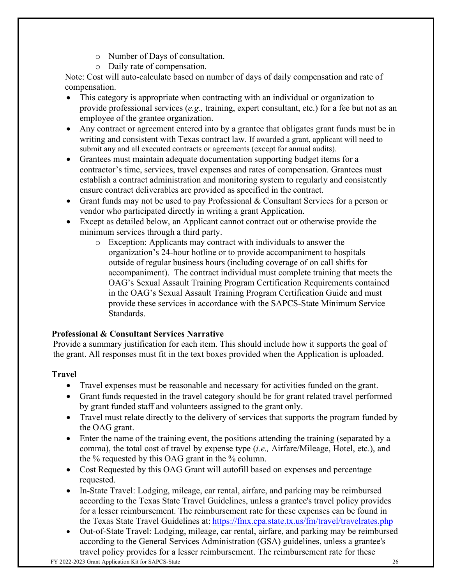- o Number of Days of consultation.
- o Daily rate of compensation.

Note: Cost will auto-calculate based on number of days of daily compensation and rate of compensation.

- This category is appropriate when contracting with an individual or organization to provide professional services (*e.g.,* training, expert consultant, etc.) for a fee but not as an employee of the grantee organization.
- Any contract or agreement entered into by a grantee that obligates grant funds must be in writing and consistent with Texas contract law. If awarded a grant, applicant will need to submit any and all executed contracts or agreements (except for annual audits).
- Grantees must maintain adequate documentation supporting budget items for a contractor's time, services, travel expenses and rates of compensation. Grantees must establish a contract administration and monitoring system to regularly and consistently ensure contract deliverables are provided as specified in the contract.
- Grant funds may not be used to pay Professional & Consultant Services for a person or vendor who participated directly in writing a grant Application.
- Except as detailed below, an Applicant cannot contract out or otherwise provide the minimum services through a third party.
	- o Exception: Applicants may contract with individuals to answer the organization's 24-hour hotline or to provide accompaniment to hospitals outside of regular business hours (including coverage of on call shifts for accompaniment). The contract individual must complete training that meets the OAG's Sexual Assault Training Program Certification Requirements contained in the OAG's Sexual Assault Training Program Certification Guide and must provide these services in accordance with the SAPCS-State Minimum Service Standards.

## **Professional & Consultant Services Narrative**

Provide a summary justification for each item. This should include how it supports the goal of the grant. All responses must fit in the text boxes provided when the Application is uploaded.

## **Travel**

- Travel expenses must be reasonable and necessary for activities funded on the grant.
- Grant funds requested in the travel category should be for grant related travel performed by grant funded staff and volunteers assigned to the grant only.
- Travel must relate directly to the delivery of services that supports the program funded by the OAG grant.
- Enter the name of the training event, the positions attending the training (separated by a comma), the total cost of travel by expense type (*i.e.,* Airfare/Mileage, Hotel, etc.), and the % requested by this OAG grant in the % column.
- Cost Requested by this OAG Grant will autofill based on expenses and percentage requested.
- In-State Travel: Lodging, mileage, car rental, airfare, and parking may be reimbursed according to the Texas State Travel Guidelines, unless a grantee's travel policy provides for a lesser reimbursement. The reimbursement rate for these expenses can be found in the Texas State Travel Guidelines at: <https://fmx.cpa.state.tx.us/fm/travel/travelrates.php>
- Out-of-State Travel: Lodging, mileage, car rental, airfare, and parking may be reimbursed according to the General Services Administration (GSA) guidelines, unless a grantee's travel policy provides for a lesser reimbursement. The reimbursement rate for these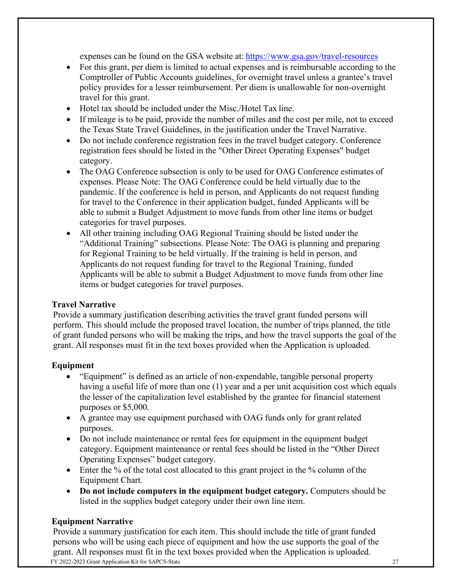expenses can be found on the GSA website at: [https://www.gsa.gov/travel-resources](http://www.gsa.gov/travel-resources)

- For this grant, per diem is limited to actual expenses and is reimbursable according to the Comptroller of Public Accounts guidelines, for overnight travel unless a grantee's travel policy provides for a lesser reimbursement. Per diem is unallowable for non-overnight travel for this grant.
- Hotel tax should be included under the Misc./Hotel Tax line.
- If mileage is to be paid, provide the number of miles and the cost per mile, not to exceed the Texas State Travel Guidelines, in the justification under the Travel Narrative.
- Do not include conference registration fees in the travel budget category. Conference registration fees should be listed in the "Other Direct Operating Expenses" budget category.
- The OAG Conference subsection is only to be used for OAG Conference estimates of expenses. Please Note: The OAG Conference could be held virtually due to the pandemic. If the conference is held in person, and Applicants do not request funding for travel to the Conference in their application budget, funded Applicants will be able to submit a Budget Adjustment to move funds from other line items or budget categories for travel purposes.
- All other training including OAG Regional Training should be listed under the "Additional Training" subsections. Please Note: The OAG is planning and preparing for Regional Training to be held virtually. If the training is held in person, and Applicants do not request funding for travel to the Regional Training, funded Applicants will be able to submit a Budget Adjustment to move funds from other line items or budget categories for travel purposes.

#### **Travel Narrative**

Provide a summary justification describing activities the travel grant funded persons will perform. This should include the proposed travel location, the number of trips planned, the title of grant funded persons who will be making the trips, and how the travel supports the goal of the grant. All responses must fit in the text boxes provided when the Application is uploaded.

#### **Equipment**

- "Equipment" is defined as an article of non-expendable, tangible personal property having a useful life of more than one (1) year and a per unit acquisition cost which equals the lesser of the capitalization level established by the grantee for financial statement purposes or \$5,000.
- A grantee may use equipment purchased with OAG funds only for grant related purposes.
- Do not include maintenance or rental fees for equipment in the equipment budget category. Equipment maintenance or rental fees should be listed in the "Other Direct Operating Expenses" budget category.
- Enter the % of the total cost allocated to this grant project in the % column of the Equipment Chart.
- **Do not include computers in the equipment budget category.** Computers should be listed in the supplies budget category under their own line item.

#### **Equipment Narrative**

FY 2022-2023 Grant Application Kit for SAPCS-State 27 Provide a summary justification for each item. This should include the title of grant funded persons who will be using each piece of equipment and how the use supports the goal of the grant. All responses must fit in the text boxes provided when the Application is uploaded.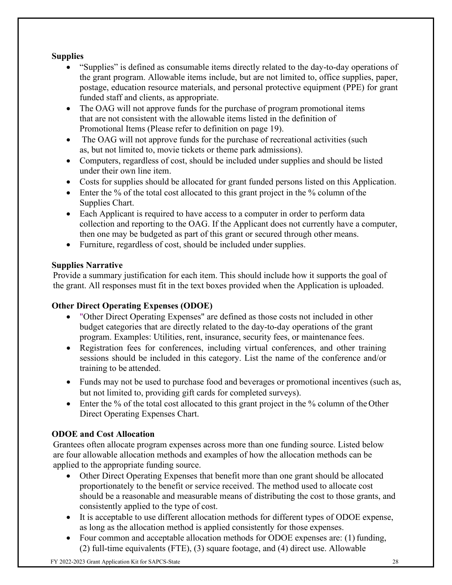## **Supplies**

- "Supplies" is defined as consumable items directly related to the day-to-day operations of the grant program. Allowable items include, but are not limited to, office supplies, paper, postage, education resource materials, and personal protective equipment (PPE) for grant funded staff and clients, as appropriate.
- The OAG will not approve funds for the purchase of program promotional items that are not consistent with the allowable items listed in the definition of Promotional Items (Please refer to definition on page 19).
- The OAG will not approve funds for the purchase of recreational activities (such as, but not limited to, movie tickets or theme park admissions).
- Computers, regardless of cost, should be included under supplies and should be listed under their own line item.
- Costs for supplies should be allocated for grant funded persons listed on this Application.
- Enter the % of the total cost allocated to this grant project in the % column of the Supplies Chart.
- Each Applicant is required to have access to a computer in order to perform data collection and reporting to the OAG. If the Applicant does not currently have a computer, then one may be budgeted as part of this grant or secured through other means.
- Furniture, regardless of cost, should be included under supplies.

## **Supplies Narrative**

Provide a summary justification for each item. This should include how it supports the goal of the grant. All responses must fit in the text boxes provided when the Application is uploaded.

## **Other Direct Operating Expenses (ODOE)**

- "Other Direct Operating Expenses" are defined as those costs not included in other budget categories that are directly related to the day-to-day operations of the grant program. Examples: Utilities, rent, insurance, security fees, or maintenance fees.
- Registration fees for conferences, including virtual conferences, and other training sessions should be included in this category. List the name of the conference and/or training to be attended.
- Funds may not be used to purchase food and beverages or promotional incentives (such as, but not limited to, providing gift cards for completed surveys).
- Enter the % of the total cost allocated to this grant project in the % column of the Other Direct Operating Expenses Chart.

## **ODOE and Cost Allocation**

Grantees often allocate program expenses across more than one funding source. Listed below are four allowable allocation methods and examples of how the allocation methods can be applied to the appropriate funding source.

- Other Direct Operating Expenses that benefit more than one grant should be allocated proportionately to the benefit or service received. The method used to allocate cost should be a reasonable and measurable means of distributing the cost to those grants, and consistently applied to the type of cost.
- It is acceptable to use different allocation methods for different types of ODOE expense, as long as the allocation method is applied consistently for those expenses.
- Four common and acceptable allocation methods for ODOE expenses are: (1) funding, (2) full-time equivalents (FTE), (3) square footage, and (4) direct use. Allowable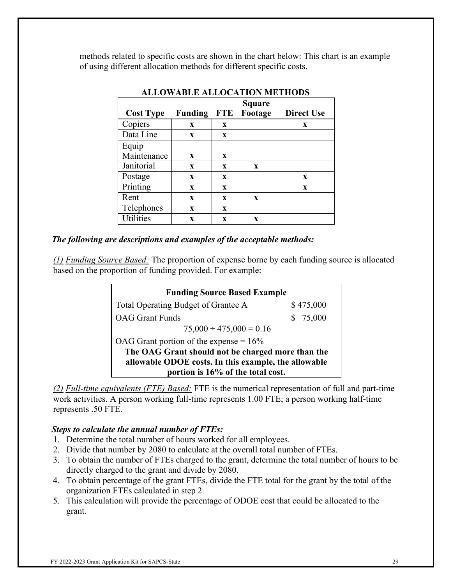methods related to specific costs are shown in the chart below: This chart is an example of using different allocation methods for different specific costs.

|                  |                |              | <b>Square</b> |                   |
|------------------|----------------|--------------|---------------|-------------------|
| <b>Cost Type</b> | <b>Funding</b> | FTE          | Footage       | <b>Direct Use</b> |
| Copiers          | X              | X            |               | X                 |
| Data Line        | X              | $\mathbf{x}$ |               |                   |
| Equip            |                |              |               |                   |
| Maintenance      | X              | X            |               |                   |
| Janitorial       | $\mathbf{x}$   | X            | $\mathbf{x}$  |                   |
| Postage          | X              | X            |               | X                 |
| Printing         | $\mathbf{x}$   | X            |               | X                 |
| Rent             | $\mathbf{x}$   | $\mathbf{x}$ | $\mathbf{x}$  |                   |
| Telephones       | $\mathbf{x}$   | $\mathbf{x}$ |               |                   |
| Utilities        | X              | X            | X             |                   |

#### **ALLOWABLE ALLOCATION METHODS**

#### *The following are descriptions and examples of the acceptable methods:*

*(1) Funding Source Based:* The proportion of expense borne by each funding source is allocated based on the proportion of funding provided. For example:

| <b>Funding Source Based Example</b>                  |           |
|------------------------------------------------------|-----------|
| Total Operating Budget of Grantee A                  | \$475,000 |
| <b>OAG</b> Grant Funds                               | \$75,000  |
| $75,000 \div 475,000 = 0.16$                         |           |
| OAG Grant portion of the expense $= 16\%$            |           |
| The OAG Grant should not be charged more than the    |           |
| allowable ODOE costs. In this example, the allowable |           |
| portion is 16% of the total cost.                    |           |

*(2) Full-time equivalents (FTE) Based:* FTE is the numerical representation of full and part-time work activities. A person working full-time represents 1.00 FTE; a person working half-time represents .50 FTE.

#### *Steps to calculate the annual number of FTEs:*

- 1. Determine the total number of hours worked for all employees.
- 2. Divide that number by 2080 to calculate at the overall total number of FTEs.
- 3. To obtain the number of FTEs charged to the grant, determine the total number of hours to be directly charged to the grant and divide by 2080.
- 4. To obtain percentage of the grant FTEs, divide the FTE total for the grant by the total of the organization FTEs calculated in step 2.
- 5. This calculation will provide the percentage of ODOE cost that could be allocated to the grant.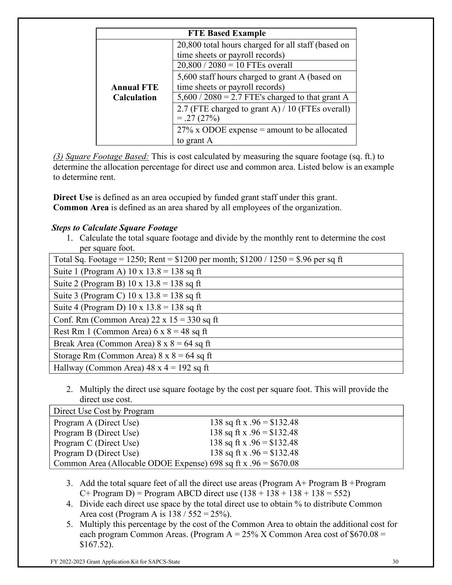| <b>FTE Based Example</b> |                                                                                                                            |  |
|--------------------------|----------------------------------------------------------------------------------------------------------------------------|--|
|                          | 20,800 total hours charged for all staff (based on<br>time sheets or payroll records)<br>$20,800 / 2080 = 10$ FTEs overall |  |
| <b>Annual FTE</b>        | 5,600 staff hours charged to grant A (based on<br>time sheets or payroll records)                                          |  |
| <b>Calculation</b>       | $5,600 / 2080 = 2.7$ FTE's charged to that grant A                                                                         |  |
|                          | 2.7 (FTE charged to grant A) / 10 (FTEs overall)<br>$=.27(27%)$                                                            |  |
|                          | $27\%$ x ODOE expense = amount to be allocated                                                                             |  |
|                          | to grant A                                                                                                                 |  |

*(3) Square Footage Based:* This is cost calculated by measuring the square footage (sq. ft.) to determine the allocation percentage for direct use and common area. Listed below is an example to determine rent.

**Direct Use** is defined as an area occupied by funded grant staff under this grant. **Common Area** is defined as an area shared by all employees of the organization.

## *Steps to Calculate Square Footage*

1. Calculate the total square footage and divide by the monthly rent to determine the cost per square foot.

| Total Sq. Footage = 1250; Rent = $$1200$ per month; $$1200 / 1250 = $.96$ per sq ft |
|-------------------------------------------------------------------------------------|
| Suite 1 (Program A) $10 \times 13.8 = 138$ sq ft                                    |
| Suite 2 (Program B) $10 \times 13.8 = 138$ sq ft                                    |
| Suite 3 (Program C) $10 \times 13.8 = 138$ sq ft                                    |
| Suite 4 (Program D) $10 \times 13.8 = 138$ sq ft                                    |
| Conf. Rm (Common Area) $22 \times 15 = 330$ sq ft                                   |
| Rest Rm 1 (Common Area) $6 \times 8 = 48$ sq ft                                     |
| Break Area (Common Area) $8 \times 8 = 64$ sq ft                                    |
| Storage Rm (Common Area) $8 \times 8 = 64$ sq ft                                    |
| Hallway (Common Area) $48 \times 4 = 192$ sq ft                                     |

2. Multiply the direct use square footage by the cost per square foot. This will provide the direct use cost.

| Direct Use Cost by Program                                       |                             |
|------------------------------------------------------------------|-----------------------------|
| Program A (Direct Use)                                           | 138 sq ft x $.96 = $132.48$ |
| Program B (Direct Use)                                           | 138 sq ft x $.96 = $132.48$ |
| Program C (Direct Use)                                           | 138 sq ft x $.96 = $132.48$ |
| Program D (Direct Use)                                           | 138 sq ft x $.96 = $132.48$ |
| Common Area (Allocable ODOE Expense) 698 sq ft x $.96 = $670.08$ |                             |

- 3. Add the total square feet of all the direct use areas (Program  $A+$  Program  $B+$ Program  $C+$  Program D) = Program ABCD direct use  $(138 + 138 + 138 + 138 = 552)$
- 4. Divide each direct use space by the total direct use to obtain % to distribute Common Area cost (Program A is  $138 / 552 = 25\%$ ).
- 5. Multiply this percentage by the cost of the Common Area to obtain the additional cost for each program Common Areas. (Program  $A = 25\%$  X Common Area cost of \$670.08 = \$167.52).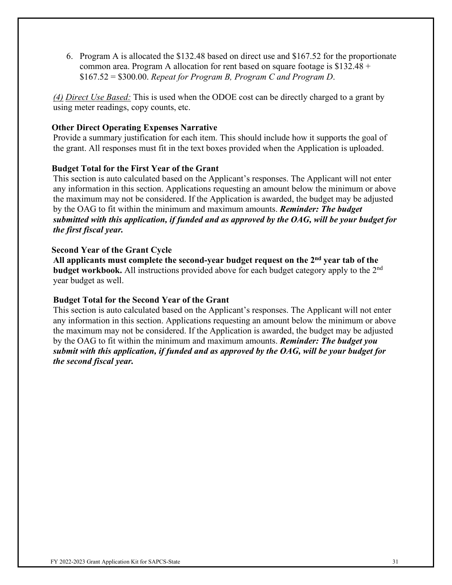6. Program A is allocated the \$132.48 based on direct use and \$167.52 for the proportionate common area. Program A allocation for rent based on square footage is  $$132.48 +$ \$167.52 = \$300.00. *Repeat for Program B, Program C and Program D*.

*(4) Direct Use Based:* This is used when the ODOE cost can be directly charged to a grant by using meter readings, copy counts, etc.

#### **Other Direct Operating Expenses Narrative**

Provide a summary justification for each item. This should include how it supports the goal of the grant. All responses must fit in the text boxes provided when the Application is uploaded.

#### **Budget Total for the First Year of the Grant**

This section is auto calculated based on the Applicant's responses. The Applicant will not enter any information in this section. Applications requesting an amount below the minimum or above the maximum may not be considered. If the Application is awarded, the budget may be adjusted by the OAG to fit within the minimum and maximum amounts. *Reminder: The budget submitted with this application, if funded and as approved by the OAG, will be your budget for the first fiscal year.*

#### **Second Year of the Grant Cycle**

**All applicants must complete the second-year budget request on the 2nd year tab of the budget workbook.** All instructions provided above for each budget category apply to the 2nd year budget as well.

#### **Budget Total for the Second Year of the Grant**

This section is auto calculated based on the Applicant's responses. The Applicant will not enter any information in this section. Applications requesting an amount below the minimum or above the maximum may not be considered. If the Application is awarded, the budget may be adjusted by the OAG to fit within the minimum and maximum amounts. *Reminder: The budget you submit with this application, if funded and as approved by the OAG, will be your budget for the second fiscal year.*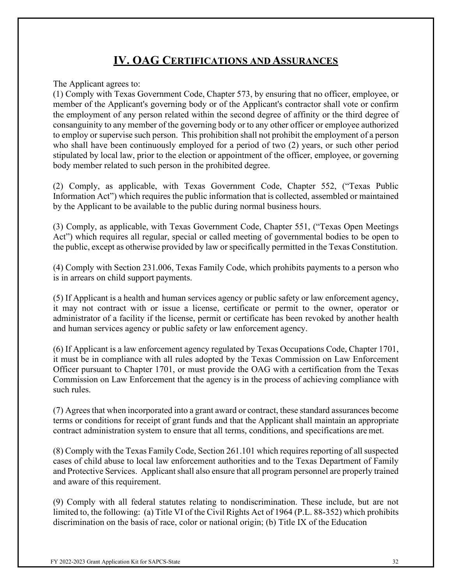## **IV. OAG CERTIFICATIONS AND ASSURANCES**

<span id="page-31-0"></span>The Applicant agrees to:

(1) Comply with Texas Government Code, Chapter 573, by ensuring that no officer, employee, or member of the Applicant's governing body or of the Applicant's contractor shall vote or confirm the employment of any person related within the second degree of affinity or the third degree of consanguinity to any member of the governing body or to any other officer or employee authorized to employ or supervise such person. This prohibition shall not prohibit the employment of a person who shall have been continuously employed for a period of two (2) years, or such other period stipulated by local law, prior to the election or appointment of the officer, employee, or governing body member related to such person in the prohibited degree.

(2) Comply, as applicable, with Texas Government Code, Chapter 552, ("Texas Public Information Act") which requires the public information that is collected, assembled or maintained by the Applicant to be available to the public during normal business hours.

(3) Comply, as applicable, with Texas Government Code, Chapter 551, ("Texas Open Meetings Act") which requires all regular, special or called meeting of governmental bodies to be open to the public, except as otherwise provided by law or specifically permitted in the Texas Constitution.

(4) Comply with Section 231.006, Texas Family Code, which prohibits payments to a person who is in arrears on child support payments.

(5) If Applicant is a health and human services agency or public safety or law enforcement agency, it may not contract with or issue a license, certificate or permit to the owner, operator or administrator of a facility if the license, permit or certificate has been revoked by another health and human services agency or public safety or law enforcement agency.

(6) If Applicant is a law enforcement agency regulated by Texas Occupations Code, Chapter 1701, it must be in compliance with all rules adopted by the Texas Commission on Law Enforcement Officer pursuant to Chapter 1701, or must provide the OAG with a certification from the Texas Commission on Law Enforcement that the agency is in the process of achieving compliance with such rules.

(7) Agrees that when incorporated into a grant award or contract, these standard assurances become terms or conditions for receipt of grant funds and that the Applicant shall maintain an appropriate contract administration system to ensure that all terms, conditions, and specifications are met.

(8) Comply with the Texas Family Code, Section 261.101 which requires reporting of all suspected cases of child abuse to local law enforcement authorities and to the Texas Department of Family and Protective Services. Applicant shall also ensure that all program personnel are properly trained and aware of this requirement.

(9) Comply with all federal statutes relating to nondiscrimination. These include, but are not limited to, the following: (a) Title VI of the Civil Rights Act of 1964 (P.L. 88-352) which prohibits discrimination on the basis of race, color or national origin; (b) Title IX of the Education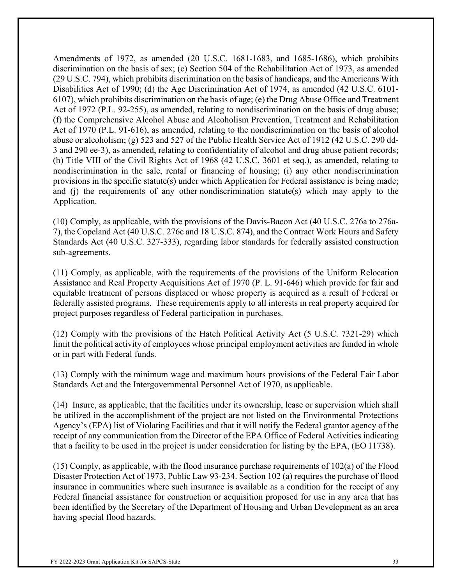Amendments of 1972, as amended (20 U.S.C. 1681-1683, and 1685-1686), which prohibits discrimination on the basis of sex; (c) Section 504 of the Rehabilitation Act of 1973, as amended (29 U.S.C. 794), which prohibits discrimination on the basis of handicaps, and the Americans With Disabilities Act of 1990; (d) the Age Discrimination Act of 1974, as amended (42 U.S.C. 6101- 6107), which prohibits discrimination on the basis of age; (e) the Drug Abuse Office and Treatment Act of 1972 (P.L. 92-255), as amended, relating to nondiscrimination on the basis of drug abuse; (f) the Comprehensive Alcohol Abuse and Alcoholism Prevention, Treatment and Rehabilitation Act of 1970 (P.L. 91-616), as amended, relating to the nondiscrimination on the basis of alcohol abuse or alcoholism; (g) 523 and 527 of the Public Health Service Act of 1912 (42 U.S.C. 290 dd-3 and 290 ee-3), as amended, relating to confidentiality of alcohol and drug abuse patient records; (h) Title VIII of the Civil Rights Act of 1968 (42 U.S.C. 3601 et seq.), as amended, relating to nondiscrimination in the sale, rental or financing of housing; (i) any other nondiscrimination provisions in the specific statute(s) under which Application for Federal assistance is being made; and (j) the requirements of any other nondiscrimination statute(s) which may apply to the Application.

(10) Comply, as applicable, with the provisions of the Davis-Bacon Act (40 U.S.C. 276a to 276a-7), the Copeland Act (40 U.S.C. 276c and 18 U.S.C. 874), and the Contract Work Hours and Safety Standards Act (40 U.S.C. 327-333), regarding labor standards for federally assisted construction sub-agreements.

(11) Comply, as applicable, with the requirements of the provisions of the Uniform Relocation Assistance and Real Property Acquisitions Act of 1970 (P. L. 91-646) which provide for fair and equitable treatment of persons displaced or whose property is acquired as a result of Federal or federally assisted programs. These requirements apply to all interests in real property acquired for project purposes regardless of Federal participation in purchases.

(12) Comply with the provisions of the Hatch Political Activity Act (5 U.S.C. 7321-29) which limit the political activity of employees whose principal employment activities are funded in whole or in part with Federal funds.

(13) Comply with the minimum wage and maximum hours provisions of the Federal Fair Labor Standards Act and the Intergovernmental Personnel Act of 1970, as applicable.

(14) Insure, as applicable, that the facilities under its ownership, lease or supervision which shall be utilized in the accomplishment of the project are not listed on the Environmental Protections Agency's (EPA) list of Violating Facilities and that it will notify the Federal grantor agency of the receipt of any communication from the Director of the EPA Office of Federal Activities indicating that a facility to be used in the project is under consideration for listing by the EPA, (EO 11738).

(15) Comply, as applicable, with the flood insurance purchase requirements of 102(a) of the Flood Disaster Protection Act of 1973, Public Law 93-234. Section 102 (a) requires the purchase of flood insurance in communities where such insurance is available as a condition for the receipt of any Federal financial assistance for construction or acquisition proposed for use in any area that has been identified by the Secretary of the Department of Housing and Urban Development as an area having special flood hazards.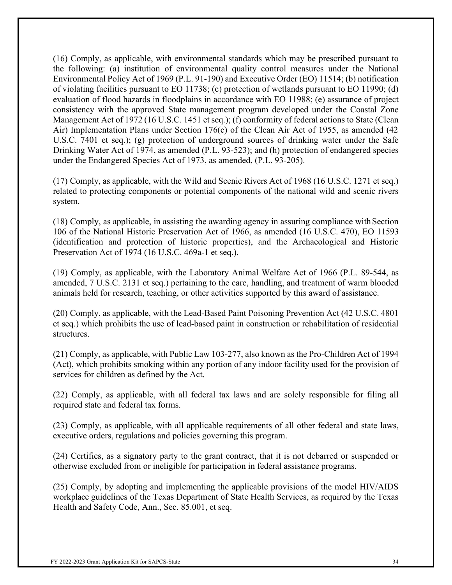(16) Comply, as applicable, with environmental standards which may be prescribed pursuant to the following: (a) institution of environmental quality control measures under the National Environmental Policy Act of 1969 (P.L. 91-190) and Executive Order (EO) 11514; (b) notification of violating facilities pursuant to EO 11738; (c) protection of wetlands pursuant to EO 11990; (d) evaluation of flood hazards in floodplains in accordance with EO 11988; (e) assurance of project consistency with the approved State management program developed under the Coastal Zone Management Act of 1972 (16 U.S.C. 1451 et seq.); (f) conformity of federal actions to State (Clean Air) Implementation Plans under Section 176(c) of the Clean Air Act of 1955, as amended (42 U.S.C. 7401 et seq.); (g) protection of underground sources of drinking water under the Safe Drinking Water Act of 1974, as amended (P.L. 93-523); and (h) protection of endangered species under the Endangered Species Act of 1973, as amended, (P.L. 93-205).

(17) Comply, as applicable, with the Wild and Scenic Rivers Act of 1968 (16 U.S.C. 1271 et seq.) related to protecting components or potential components of the national wild and scenic rivers system.

(18) Comply, as applicable, in assisting the awarding agency in assuring compliance withSection 106 of the National Historic Preservation Act of 1966, as amended (16 U.S.C. 470), EO 11593 (identification and protection of historic properties), and the Archaeological and Historic Preservation Act of 1974 (16 U.S.C. 469a-1 et seq.).

(19) Comply, as applicable, with the Laboratory Animal Welfare Act of 1966 (P.L. 89-544, as amended, 7 U.S.C. 2131 et seq.) pertaining to the care, handling, and treatment of warm blooded animals held for research, teaching, or other activities supported by this award of assistance.

(20) Comply, as applicable, with the Lead-Based Paint Poisoning Prevention Act (42 U.S.C. 4801 et seq.) which prohibits the use of lead-based paint in construction or rehabilitation of residential structures.

(21) Comply, as applicable, with Public Law 103-277, also known as the Pro-Children Act of 1994 (Act), which prohibits smoking within any portion of any indoor facility used for the provision of services for children as defined by the Act.

(22) Comply, as applicable, with all federal tax laws and are solely responsible for filing all required state and federal tax forms.

(23) Comply, as applicable, with all applicable requirements of all other federal and state laws, executive orders, regulations and policies governing this program.

(24) Certifies, as a signatory party to the grant contract, that it is not debarred or suspended or otherwise excluded from or ineligible for participation in federal assistance programs.

(25) Comply, by adopting and implementing the applicable provisions of the model HIV/AIDS workplace guidelines of the Texas Department of State Health Services, as required by the Texas Health and Safety Code, Ann., Sec. 85.001, et seq.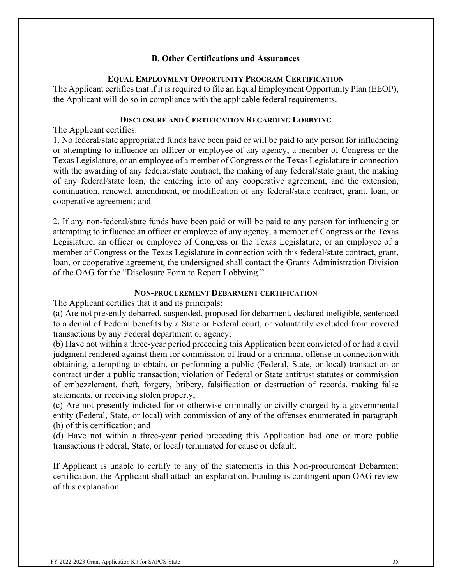#### **B. Other Certifications and Assurances**

#### **EQUAL EMPLOYMENT OPPORTUNITY PROGRAM CERTIFICATION**

The Applicant certifies that if it is required to file an Equal Employment Opportunity Plan (EEOP), the Applicant will do so in compliance with the applicable federal requirements.

#### **DISCLOSURE AND CERTIFICATION REGARDING LOBBYING**

The Applicant certifies:

1. No federal/state appropriated funds have been paid or will be paid to any person for influencing or attempting to influence an officer or employee of any agency, a member of Congress or the Texas Legislature, or an employee of a member of Congress or the Texas Legislature in connection with the awarding of any federal/state contract, the making of any federal/state grant, the making of any federal/state loan, the entering into of any cooperative agreement, and the extension, continuation, renewal, amendment, or modification of any federal/state contract, grant, loan, or cooperative agreement; and

2. If any non-federal/state funds have been paid or will be paid to any person for influencing or attempting to influence an officer or employee of any agency, a member of Congress or the Texas Legislature, an officer or employee of Congress or the Texas Legislature, or an employee of a member of Congress or the Texas Legislature in connection with this federal/state contract, grant, loan, or cooperative agreement, the undersigned shall contact the Grants Administration Division of the OAG for the "Disclosure Form to Report Lobbying."

#### **NON-PROCUREMENT DEBARMENT CERTIFICATION**

The Applicant certifies that it and its principals:

(a) Are not presently debarred, suspended, proposed for debarment, declared ineligible, sentenced to a denial of Federal benefits by a State or Federal court, or voluntarily excluded from covered transactions by any Federal department or agency;

(b) Have not within a three-year period preceding this Application been convicted of or had a civil judgment rendered against them for commission of fraud or a criminal offense in connectionwith obtaining, attempting to obtain, or performing a public (Federal, State, or local) transaction or contract under a public transaction; violation of Federal or State antitrust statutes or commission of embezzlement, theft, forgery, bribery, falsification or destruction of records, making false statements, or receiving stolen property;

(c) Are not presently indicted for or otherwise criminally or civilly charged by a governmental entity (Federal, State, or local) with commission of any of the offenses enumerated in paragraph (b) of this certification; and

(d) Have not within a three-year period preceding this Application had one or more public transactions (Federal, State, or local) terminated for cause or default.

If Applicant is unable to certify to any of the statements in this Non-procurement Debarment certification, the Applicant shall attach an explanation. Funding is contingent upon OAG review of this explanation.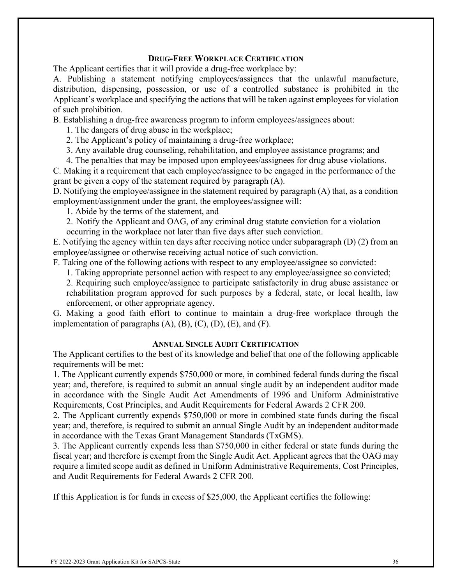#### **DRUG-FREE WORKPLACE CERTIFICATION**

The Applicant certifies that it will provide a drug-free workplace by:

A. Publishing a statement notifying employees/assignees that the unlawful manufacture, distribution, dispensing, possession, or use of a controlled substance is prohibited in the Applicant's workplace and specifying the actions that will be taken against employees for violation of such prohibition.

B. Establishing a drug-free awareness program to inform employees/assignees about:

1. The dangers of drug abuse in the workplace;

2. The Applicant's policy of maintaining a drug-free workplace;

3. Any available drug counseling, rehabilitation, and employee assistance programs; and

4. The penalties that may be imposed upon employees/assignees for drug abuse violations.

C. Making it a requirement that each employee/assignee to be engaged in the performance of the grant be given a copy of the statement required by paragraph (A).

D. Notifying the employee/assignee in the statement required by paragraph (A) that, as a condition employment/assignment under the grant, the employees/assignee will:

1. Abide by the terms of the statement, and

2. Notify the Applicant and OAG, of any criminal drug statute conviction for a violation

occurring in the workplace not later than five days after such conviction.

E. Notifying the agency within ten days after receiving notice under subparagraph (D) (2) from an employee/assignee or otherwise receiving actual notice of such conviction.

F. Taking one of the following actions with respect to any employee/assignee so convicted:

1. Taking appropriate personnel action with respect to any employee/assignee so convicted;

2. Requiring such employee/assignee to participate satisfactorily in drug abuse assistance or rehabilitation program approved for such purposes by a federal, state, or local health, law enforcement, or other appropriate agency.

G. Making a good faith effort to continue to maintain a drug-free workplace through the implementation of paragraphs  $(A)$ ,  $(B)$ ,  $(C)$ ,  $(D)$ ,  $(E)$ , and  $(F)$ .

#### **ANNUAL SINGLE AUDIT CERTIFICATION**

The Applicant certifies to the best of its knowledge and belief that one of the following applicable requirements will be met:

1. The Applicant currently expends \$750,000 or more, in combined federal funds during the fiscal year; and, therefore, is required to submit an annual single audit by an independent auditor made in accordance with the Single Audit Act Amendments of 1996 and Uniform Administrative Requirements, Cost Principles, and Audit Requirements for Federal Awards 2 CFR 200.

2. The Applicant currently expends \$750,000 or more in combined state funds during the fiscal year; and, therefore, is required to submit an annual Single Audit by an independent auditormade in accordance with the Texas Grant Management Standards (TxGMS).

3. The Applicant currently expends less than \$750,000 in either federal or state funds during the fiscal year; and therefore is exempt from the Single Audit Act. Applicant agrees that the OAG may require a limited scope audit as defined in Uniform Administrative Requirements, Cost Principles, and Audit Requirements for Federal Awards 2 CFR 200.

If this Application is for funds in excess of \$25,000, the Applicant certifies the following: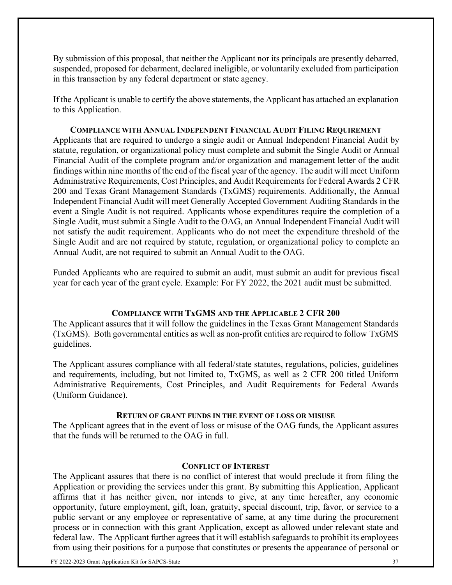By submission of this proposal, that neither the Applicant nor its principals are presently debarred, suspended, proposed for debarment, declared ineligible, or voluntarily excluded from participation in this transaction by any federal department or state agency.

If the Applicant is unable to certify the above statements, the Applicant has attached an explanation to this Application.

**COMPLIANCE WITH ANNUAL INDEPENDENT FINANCIAL AUDIT FILING REQUIREMENT** Applicants that are required to undergo a single audit or Annual Independent Financial Audit by statute, regulation, or organizational policy must complete and submit the Single Audit or Annual Financial Audit of the complete program and/or organization and management letter of the audit findings within nine months of the end of the fiscal year of the agency. The audit will meet Uniform Administrative Requirements, Cost Principles, and Audit Requirements for Federal Awards 2 CFR 200 and Texas Grant Management Standards (TxGMS) requirements. Additionally, the Annual Independent Financial Audit will meet Generally Accepted Government Auditing Standards in the event a Single Audit is not required. Applicants whose expenditures require the completion of a Single Audit, must submit a Single Audit to the OAG, an Annual Independent Financial Audit will not satisfy the audit requirement. Applicants who do not meet the expenditure threshold of the Single Audit and are not required by statute, regulation, or organizational policy to complete an Annual Audit, are not required to submit an Annual Audit to the OAG.

Funded Applicants who are required to submit an audit, must submit an audit for previous fiscal year for each year of the grant cycle. Example: For FY 2022, the 2021 audit must be submitted.

#### **COMPLIANCE WITH TxGMS AND THE APPLICABLE 2 CFR 200**

The Applicant assures that it will follow the guidelines in the Texas Grant Management Standards (TxGMS). Both governmental entities as well as non-profit entities are required to follow TxGMS guidelines.

The Applicant assures compliance with all federal/state statutes, regulations, policies, guidelines and requirements, including, but not limited to, TxGMS, as well as 2 CFR 200 titled Uniform Administrative Requirements, Cost Principles, and Audit Requirements for Federal Awards (Uniform Guidance).

#### **RETURN OF GRANT FUNDS IN THE EVENT OF LOSS OR MISUSE**

The Applicant agrees that in the event of loss or misuse of the OAG funds, the Applicant assures that the funds will be returned to the OAG in full.

#### **CONFLICT OF INTEREST**

The Applicant assures that there is no conflict of interest that would preclude it from filing the Application or providing the services under this grant. By submitting this Application, Applicant affirms that it has neither given, nor intends to give, at any time hereafter, any economic opportunity, future employment, gift, loan, gratuity, special discount, trip, favor, or service to a public servant or any employee or representative of same, at any time during the procurement process or in connection with this grant Application, except as allowed under relevant state and federal law. The Applicant further agrees that it will establish safeguards to prohibit its employees from using their positions for a purpose that constitutes or presents the appearance of personal or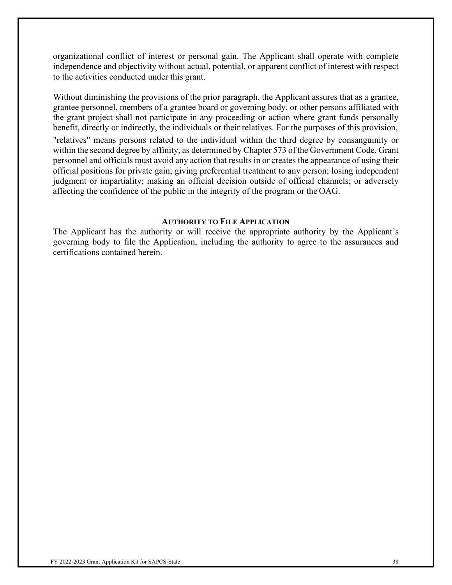organizational conflict of interest or personal gain. The Applicant shall operate with complete independence and objectivity without actual, potential, or apparent conflict of interest with respect to the activities conducted under this grant.

Without diminishing the provisions of the prior paragraph, the Applicant assures that as a grantee, grantee personnel, members of a grantee board or governing body, or other persons affiliated with the grant project shall not participate in any proceeding or action where grant funds personally benefit, directly or indirectly, the individuals or their relatives. For the purposes of this provision, "relatives" means persons related to the individual within the third degree by consanguinity or within the second degree by affinity, as determined by Chapter 573 of the Government Code. Grant personnel and officials must avoid any action that results in or creates the appearance of using their official positions for private gain; giving preferential treatment to any person; losing independent judgment or impartiality; making an official decision outside of official channels; or adversely affecting the confidence of the public in the integrity of the program or the OAG.

#### **AUTHORITY TO FILE APPLICATION**

The Applicant has the authority or will receive the appropriate authority by the Applicant's governing body to file the Application, including the authority to agree to the assurances and certifications contained herein.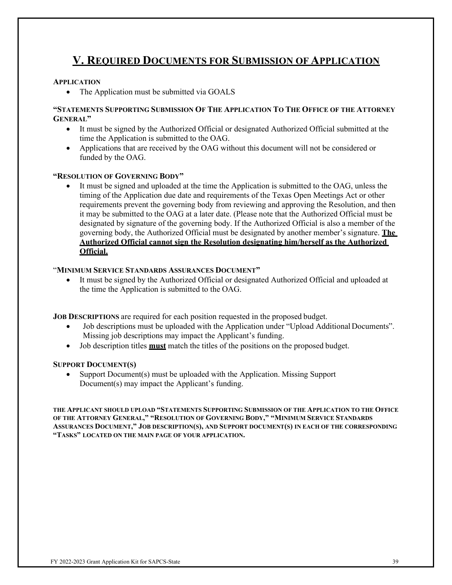# <span id="page-38-0"></span>**V. REQUIRED DOCUMENTS FOR SUBMISSION OF APPLICATION**

#### **APPLICATION**

• The Application must be submitted via GOALS

#### **"STATEMENTS SUPPORTING SUBMISSION OF THE APPLICATION TO THE OFFICE OF THE ATTORNEY GENERAL"**

- It must be signed by the Authorized Official or designated Authorized Official submitted at the time the Application is submitted to the OAG.
- Applications that are received by the OAG without this document will not be considered or funded by the OAG.

#### **"RESOLUTION OF GOVERNING BODY"**

It must be signed and uploaded at the time the Application is submitted to the OAG, unless the timing of the Application due date and requirements of the Texas Open Meetings Act or other requirements prevent the governing body from reviewing and approving the Resolution, and then it may be submitted to the OAG at a later date. (Please note that the Authorized Official must be designated by signature of the governing body. If the Authorized Official is also a member of the governing body, the Authorized Official must be designated by another member's signature. **The Authorized Official cannot sign the Resolution designating him/herself as the Authorized Official.**

#### "**MINIMUM SERVICE STANDARDS ASSURANCES DOCUMENT"**

It must be signed by the Authorized Official or designated Authorized Official and uploaded at the time the Application is submitted to the OAG.

**JOB DESCRIPTIONS** are required for each position requested in the proposed budget.

- Job descriptions must be uploaded with the Application under "Upload Additional Documents". Missing job descriptions may impact the Applicant's funding.
- Job description titles **must** match the titles of the positions on the proposed budget.

#### **SUPPORT DOCUMENT(S)**

• Support Document(s) must be uploaded with the Application. Missing Support Document(s) may impact the Applicant's funding.

**THE APPLICANT SHOULD UPLOAD "STATEMENTS SUPPORTING SUBMISSION OF THE APPLICATION TO THE OFFICE OF THE ATTORNEY GENERAL," "RESOLUTION OF GOVERNING BODY," "MINIMUM SERVICE STANDARDS ASSURANCES DOCUMENT," JOB DESCRIPTION(S), AND SUPPORT DOCUMENT(S) IN EACH OF THE CORRESPONDING "TASKS" LOCATED ON THE MAIN PAGE OF YOUR APPLICATION.**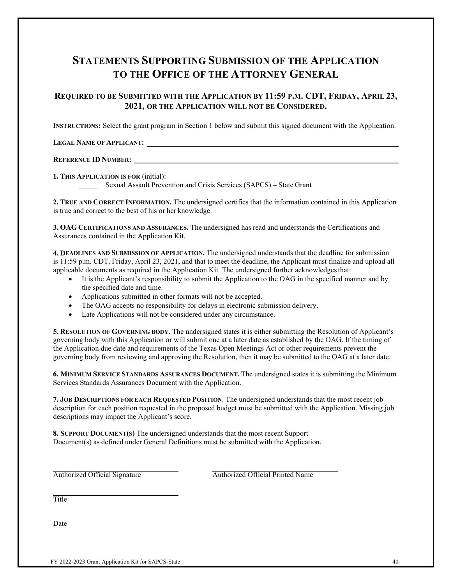## **STATEMENTS SUPPORTING SUBMISSION OF THE APPLICATION TO THE OFFICE OF THE ATTORNEY GENERAL**

#### **REQUIRED TO BE SUBMITTED WITH THE APPLICATION BY 11:59 P.M. CDT, FRIDAY, APRIL 23, 2021, OR THE APPLICATION WILL NOT BE CONSIDERED.**

**INSTRUCTIONS:** Select the grant program in Section 1 below and submit this signed document with the Application.

**LEGAL NAME OF APPLICANT:** 

#### **REFERENCE ID NUMBER:**

**1. THIS APPLICATION IS FOR** (initial):

Sexual Assault Prevention and Crisis Services (SAPCS) – State Grant

**2. TRUE AND CORRECT INFORMATION.** The undersigned certifies that the information contained in this Application is true and correct to the best of his or her knowledge.

**3. OAG CERTIFICATIONS AND ASSURANCES.** The undersigned has read and understands the Certifications and Assurances contained in the Application Kit.

**4. DEADLINES AND SUBMISSION OF APPLICATION.** The undersigned understands that the deadline for submission is 11:59 p.m. CDT, Friday, April 23, 2021, and that to meet the deadline, the Applicant must finalize and upload all applicable documents as required in the Application Kit. The undersigned further acknowledgesthat:

- It is the Applicant's responsibility to submit the Application to the OAG in the specified manner and by the specified date and time.
- Applications submitted in other formats will not be accepted.
- The OAG accepts no responsibility for delays in electronic submission delivery.
- Late Applications will not be considered under any circumstance.

**5. RESOLUTION OF GOVERNING BODY.** The undersigned states it is either submitting the Resolution of Applicant's governing body with this Application or will submit one at a later date as established by the OAG. If the timing of the Application due date and requirements of the Texas Open Meetings Act or other requirements prevent the governing body from reviewing and approving the Resolution, then it may be submitted to the OAG at a later date.

**6. MINIMUM SERVICE STANDARDS ASSURANCES DOCUMENT.** The undersigned states it is submitting the Minimum Services Standards Assurances Document with the Application.

**7. JOB DESCRIPTIONS FOR EACH REQUESTED POSITION**. The undersigned understands that the most recent job description for each position requested in the proposed budget must be submitted with the Application. Missing job descriptions may impact the Applicant's score.

**8. SUPPORT DOCUMENT(S)** The undersigned understands that the most recent Support Document(s) as defined under General Definitions must be submitted with the Application.

Authorized Official Signature Authorized Official Printed Name

Title

**Date**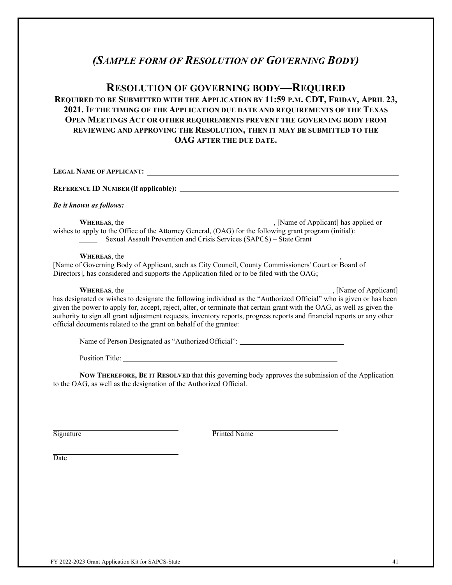## *(SAMPLE FORM OF RESOLUTION OF GOVERNING BODY)*

#### **RESOLUTION OF GOVERNING BODY—REQUIRED**

#### **REQUIRED TO BE SUBMITTED WITH THE APPLICATION BY 11:59 P.M. CDT, FRIDAY, APRIL 23, 2021. IF THE TIMING OF THE APPLICATION DUE DATE AND REQUIREMENTS OF THE TEXAS OPEN MEETINGS ACT OR OTHER REQUIREMENTS PREVENT THE GOVERNING BODY FROM REVIEWING AND APPROVING THE RESOLUTION, THEN IT MAY BE SUBMITTED TO THE OAG AFTER THE DUE DATE.**

**LEGAL NAME OF APPLICANT: REFERENCE ID NUMBER (if applicable):**  *Be it known as follows:* **WHEREAS**, the , [Name of Applicant] has applied or wishes to apply to the Office of the Attorney General, (OAG) for the following grant program (initial): Sexual Assault Prevention and Crisis Services (SAPCS) – State Grant **WHEREAS**, the [Name of Governing Body of Applicant, such as City Council, County Commissioners' Court or Board of Directors], has considered and supports the Application filed or to be filed with the OAG; **WHEREAS**, the , [Name of Applicant] has designated or wishes to designate the following individual as the "Authorized Official" who is given or has been given the power to apply for, accept, reject, alter, or terminate that certain grant with the OAG, as well as given the authority to sign all grant adjustment requests, inventory reports, progress reports and financial reports or any other official documents related to the grant on behalf of the grantee: Name of Person Designated as "AuthorizedOfficial": Position Title:

**NOW THEREFORE, BE IT RESOLVED** that this governing body approves the submission of the Application to the OAG, as well as the designation of the Authorized Official.

Signature Printed Name

**Date**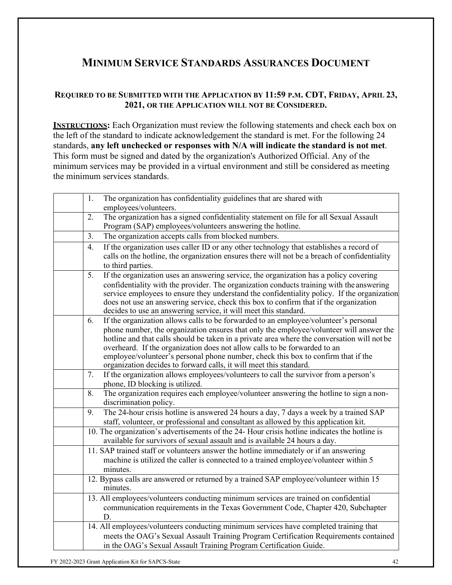# **MINIMUM SERVICE STANDARDS ASSURANCES DOCUMENT**

#### **REQUIRED TO BE SUBMITTED WITH THE APPLICATION BY 11:59 P.M. CDT, FRIDAY, APRIL 23, 2021, OR THE APPLICATION WILL NOT BE CONSIDERED.**

**INSTRUCTIONS:** Each Organization must review the following statements and check each box on the left of the standard to indicate acknowledgement the standard is met. For the following 24 standards, **any left unchecked or responses with N/A will indicate the standard is not met**. This form must be signed and dated by the organization's Authorized Official. Any of the minimum services may be provided in a virtual environment and still be considered as meeting the minimum services standards.

| The organization has confidentiality guidelines that are shared with<br>1.<br>employees/volunteers.                                                                                                                                                                                                                                                                                                                                                                                                                          |
|------------------------------------------------------------------------------------------------------------------------------------------------------------------------------------------------------------------------------------------------------------------------------------------------------------------------------------------------------------------------------------------------------------------------------------------------------------------------------------------------------------------------------|
| The organization has a signed confidentiality statement on file for all Sexual Assault<br>2.<br>Program (SAP) employees/volunteers answering the hotline.                                                                                                                                                                                                                                                                                                                                                                    |
| The organization accepts calls from blocked numbers.<br>3.                                                                                                                                                                                                                                                                                                                                                                                                                                                                   |
| If the organization uses caller ID or any other technology that establishes a record of<br>4.<br>calls on the hotline, the organization ensures there will not be a breach of confidentiality<br>to third parties.                                                                                                                                                                                                                                                                                                           |
| 5.<br>If the organization uses an answering service, the organization has a policy covering<br>confidentiality with the provider. The organization conducts training with the answering<br>service employees to ensure they understand the confidentiality policy. If the organization<br>does not use an answering service, check this box to confirm that if the organization<br>decides to use an answering service, it will meet this standard.                                                                          |
| If the organization allows calls to be forwarded to an employee/volunteer's personal<br>6.<br>phone number, the organization ensures that only the employee/volunteer will answer the<br>hotline and that calls should be taken in a private area where the conversation will not be<br>overheard. If the organization does not allow calls to be forwarded to an<br>employee/volunteer's personal phone number, check this box to confirm that if the<br>organization decides to forward calls, it will meet this standard. |
| If the organization allows employees/volunteers to call the survivor from a person's<br>7.<br>phone, ID blocking is utilized.                                                                                                                                                                                                                                                                                                                                                                                                |
| The organization requires each employee/volunteer answering the hotline to sign a non-<br>8.<br>discrimination policy.                                                                                                                                                                                                                                                                                                                                                                                                       |
| The 24-hour crisis hotline is answered 24 hours a day, 7 days a week by a trained SAP<br>9.<br>staff, volunteer, or professional and consultant as allowed by this application kit.                                                                                                                                                                                                                                                                                                                                          |
| 10. The organization's advertisements of the 24- Hour crisis hotline indicates the hotline is<br>available for survivors of sexual assault and is available 24 hours a day.                                                                                                                                                                                                                                                                                                                                                  |
| 11. SAP trained staff or volunteers answer the hotline immediately or if an answering<br>machine is utilized the caller is connected to a trained employee/volunteer within 5<br>minutes.                                                                                                                                                                                                                                                                                                                                    |
| 12. Bypass calls are answered or returned by a trained SAP employee/volunteer within 15<br>minutes.                                                                                                                                                                                                                                                                                                                                                                                                                          |
| 13. All employees/volunteers conducting minimum services are trained on confidential<br>communication requirements in the Texas Government Code, Chapter 420, Subchapter<br>D.                                                                                                                                                                                                                                                                                                                                               |
| 14. All employees/volunteers conducting minimum services have completed training that<br>meets the OAG's Sexual Assault Training Program Certification Requirements contained<br>in the OAG's Sexual Assault Training Program Certification Guide.                                                                                                                                                                                                                                                                           |